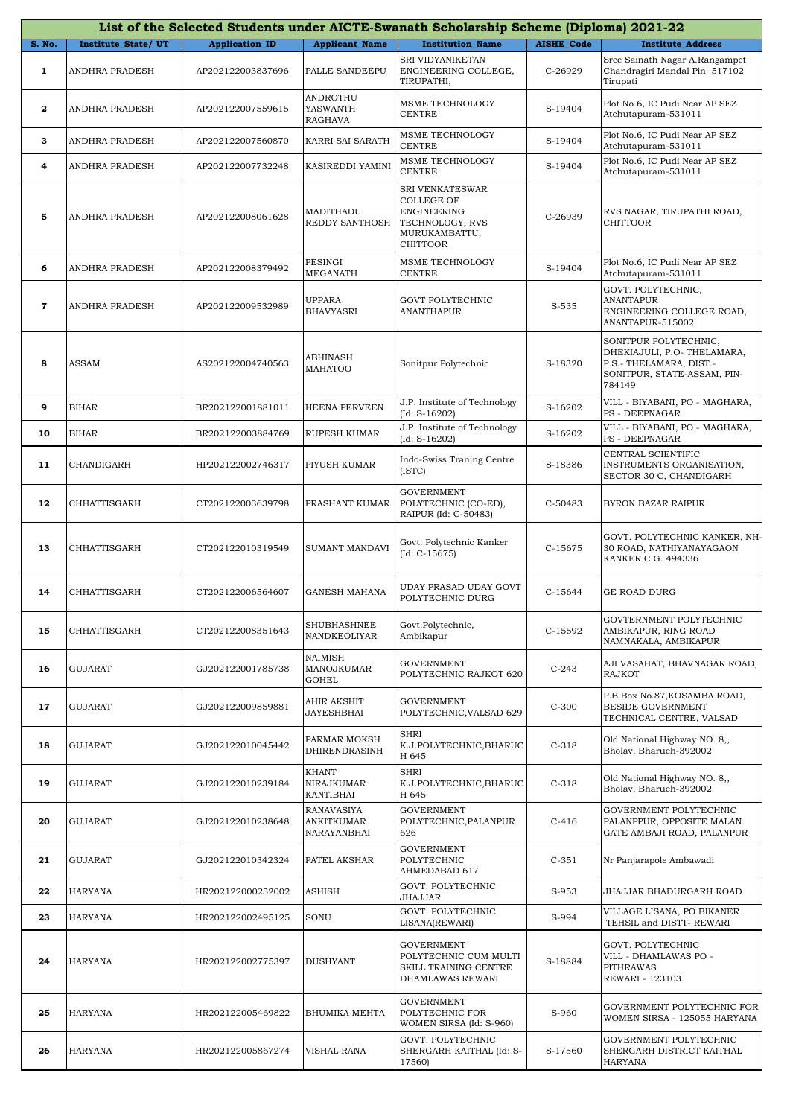|              |                    |                       |                                         | List of the Selected Students under AICTE-Swanath Scholarship Scheme (Diploma) 2021-22                     |                   |                                                                                                                          |
|--------------|--------------------|-----------------------|-----------------------------------------|------------------------------------------------------------------------------------------------------------|-------------------|--------------------------------------------------------------------------------------------------------------------------|
| S. No.       | Institute_State/UT | <b>Application_ID</b> | <b>Applicant_Name</b>                   | <b>Institution Name</b>                                                                                    | <b>AISHE Code</b> | <b>Institute Address</b>                                                                                                 |
| $\mathbf{1}$ | ANDHRA PRADESH     | AP202122003837696     | PALLE SANDEEPU                          | SRI VIDYANIKETAN<br>ENGINEERING COLLEGE,<br>TIRUPATHI,                                                     | C-26929           | Sree Sainath Nagar A.Rangampet<br>Chandragiri Mandal Pin 517102<br>Tirupati                                              |
| $\mathbf{2}$ | ANDHRA PRADESH     | AP202122007559615     | ANDROTHU<br>YASWANTH<br>RAGHAVA         | MSME TECHNOLOGY<br>CENTRE                                                                                  | S-19404           | Plot No.6, IC Pudi Near AP SEZ<br>Atchutapuram-531011                                                                    |
| 3            | ANDHRA PRADESH     | AP202122007560870     | KARRI SAI SARATH                        | MSME TECHNOLOGY<br><b>CENTRE</b>                                                                           | S-19404           | Plot No.6, IC Pudi Near AP SEZ<br>Atchutapuram-531011                                                                    |
| 4            | ANDHRA PRADESH     | AP202122007732248     | KASIREDDI YAMINI                        | MSME TECHNOLOGY<br><b>CENTRE</b>                                                                           | S-19404           | Plot No.6, IC Pudi Near AP SEZ<br>Atchutapuram-531011                                                                    |
| 5            | ANDHRA PRADESH     | AP202122008061628     | MADITHADU<br>REDDY SANTHOSH             | SRI VENKATESWAR<br><b>COLLEGE OF</b><br>ENGINEERING<br>TECHNOLOGY, RVS<br>MURUKAMBATTU,<br><b>CHITTOOR</b> | C-26939           | RVS NAGAR, TIRUPATHI ROAD,<br><b>CHITTOOR</b>                                                                            |
| 6            | ANDHRA PRADESH     | AP202122008379492     | PESINGI<br>MEGANATH                     | MSME TECHNOLOGY<br>CENTRE                                                                                  | S-19404           | Plot No.6, IC Pudi Near AP SEZ<br>Atchutapuram-531011                                                                    |
| 7            | ANDHRA PRADESH     | AP202122009532989     | <b>UPPARA</b><br><b>BHAVYASRI</b>       | <b>GOVT POLYTECHNIC</b><br><b>ANANTHAPUR</b>                                                               | S-535             | GOVT. POLYTECHNIC,<br>ANANTAPUR<br>ENGINEERING COLLEGE ROAD,<br>ANANTAPUR-515002                                         |
| 8            | ASSAM              | AS202122004740563     | ABHINASH<br>MAHATOO                     | Sonitpur Polytechnic                                                                                       | S-18320           | SONITPUR POLYTECHNIC,<br>DHEKIAJULI, P.O- THELAMARA,<br>P.S.- THELAMARA, DIST.-<br>SONITPUR, STATE-ASSAM, PIN-<br>784149 |
| 9            | <b>BIHAR</b>       | BR202122001881011     | <b>HEENA PERVEEN</b>                    | J.P. Institute of Technology<br>$(Id: S-16202)$                                                            | S-16202           | VILL - BIYABANI, PO - MAGHARA,<br>PS - DEEPNAGAR                                                                         |
| 10           | <b>BIHAR</b>       | BR202122003884769     | RUPESH KUMAR                            | J.P. Institute of Technology<br>$(Id: S-16202)$                                                            | S-16202           | VILL - BIYABANI, PO - MAGHARA,<br>PS - DEEPNAGAR                                                                         |
| 11           | CHANDIGARH         | HP202122002746317     | PIYUSH KUMAR                            | Indo-Swiss Traning Centre<br>(ISTC)                                                                        | S-18386           | CENTRAL SCIENTIFIC<br>INSTRUMENTS ORGANISATION,<br>SECTOR 30 C, CHANDIGARH                                               |
| 12           | CHHATTISGARH       | CT202122003639798     | PRASHANT KUMAR                          | <b>GOVERNMENT</b><br>POLYTECHNIC (CO-ED),<br>RAIPUR (Id: C-50483)                                          | C-50483           | BYRON BAZAR RAIPUR                                                                                                       |
| 13           | CHHATTISGARH       | CT202122010319549     | SUMANT MANDAVI                          | Govt. Polytechnic Kanker<br>$(Id: C-15675)$                                                                | $C-15675$         | GOVT. POLYTECHNIC KANKER, NH-<br>30 ROAD, NATHIYANAYAGAON<br>KANKER C.G. 494336                                          |
| 14           | CHHATTISGARH       | CT202122006564607     | <b>GANESH MAHANA</b>                    | UDAY PRASAD UDAY GOVT<br>POLYTECHNIC DURG                                                                  | $C-15644$         | GE ROAD DURG                                                                                                             |
| 15           | CHHATTISGARH       | CT202122008351643     | <b>SHUBHASHNEE</b><br>NANDKEOLIYAR      | Govt.Polytechnic,<br>Ambikapur                                                                             | C-15592           | GOVTERNMENT POLYTECHNIC<br>AMBIKAPUR, RING ROAD<br>NAMNAKALA, AMBIKAPUR                                                  |
| 16           | <b>GUJARAT</b>     | GJ202122001785738     | NAIMISH<br>MANOJKUMAR<br><b>GOHEL</b>   | <b>GOVERNMENT</b><br>POLYTECHNIC RAJKOT 620                                                                | $C-243$           | AJI VASAHAT, BHAVNAGAR ROAD,<br><b>RAJKOT</b>                                                                            |
| 17           | <b>GUJARAT</b>     | GJ202122009859881     | AHIR AKSHIT<br>JAYESHBHAI               | <b>GOVERNMENT</b><br>POLYTECHNIC, VALSAD 629                                                               | $C-300$           | P.B.Box No.87, KOSAMBA ROAD,<br>BESIDE GOVERNMENT<br>TECHNICAL CENTRE, VALSAD                                            |
| 18           | <b>GUJARAT</b>     | GJ202122010045442     | PARMAR MOKSH<br>DHIRENDRASINH           | SHRI<br>K.J.POLYTECHNIC, BHARUC<br>H 645                                                                   | $C-318$           | Old National Highway NO. 8,,<br>Bholav, Bharuch-392002                                                                   |
| 19           | <b>GUJARAT</b>     | GJ202122010239184     | KHANT<br>NIRAJKUMAR<br>KANTIBHAI        | <b>SHRI</b><br>K.J.POLYTECHNIC, BHARUC<br>H 645                                                            | $C-318$           | Old National Highway NO. 8,,<br>Bholav, Bharuch-392002                                                                   |
| 20           | <b>GUJARAT</b>     | GJ202122010238648     | RANAVASIYA<br>ANKITKUMAR<br>NARAYANBHAI | <b>GOVERNMENT</b><br>POLYTECHNIC, PALANPUR<br>626                                                          | $C-416$           | GOVERNMENT POLYTECHNIC<br>PALANPPUR, OPPOSITE MALAN<br>GATE AMBAJI ROAD, PALANPUR                                        |
| 21           | GUJARAT            | GJ202122010342324     | PATEL AKSHAR                            | <b>GOVERNMENT</b><br>POLYTECHNIC<br>AHMEDABAD 617                                                          | $C-351$           | Nr Panjarapole Ambawadi                                                                                                  |
| 22           | HARYANA            | HR202122000232002     | <b>ASHISH</b>                           | GOVT. POLYTECHNIC<br>JHAJJAR                                                                               | S-953             | JHAJJAR BHADURGARH ROAD                                                                                                  |
| 23           | HARYANA            | HR202122002495125     | SONU                                    | GOVT. POLYTECHNIC<br>LISANA(REWARI)                                                                        | S-994             | VILLAGE LISANA, PO BIKANER<br>TEHSIL and DISTT- REWARI                                                                   |
| 24           | HARYANA            | HR202122002775397     | <b>DUSHYANT</b>                         | <b>GOVERNMENT</b><br>POLYTECHNIC CUM MULTI<br>SKILL TRAINING CENTRE<br>DHAMLAWAS REWARI                    | S-18884           | GOVT. POLYTECHNIC<br>VILL - DHAMLAWAS PO -<br>PITHRAWAS<br>REWARI - 123103                                               |
| 25           | <b>HARYANA</b>     | HR202122005469822     | BHUMIKA MEHTA                           | <b>GOVERNMENT</b><br>POLYTECHNIC FOR<br>WOMEN SIRSA (Id: S-960)                                            | S-960             | GOVERNMENT POLYTECHNIC FOR<br>WOMEN SIRSA - 125055 HARYANA                                                               |
| 26           | <b>HARYANA</b>     | HR202122005867274     | VISHAL RANA                             | GOVT. POLYTECHNIC<br>SHERGARH KAITHAL (Id: S-<br>17560)                                                    | S-17560           | GOVERNMENT POLYTECHNIC<br>SHERGARH DISTRICT KAITHAL<br>HARYANA                                                           |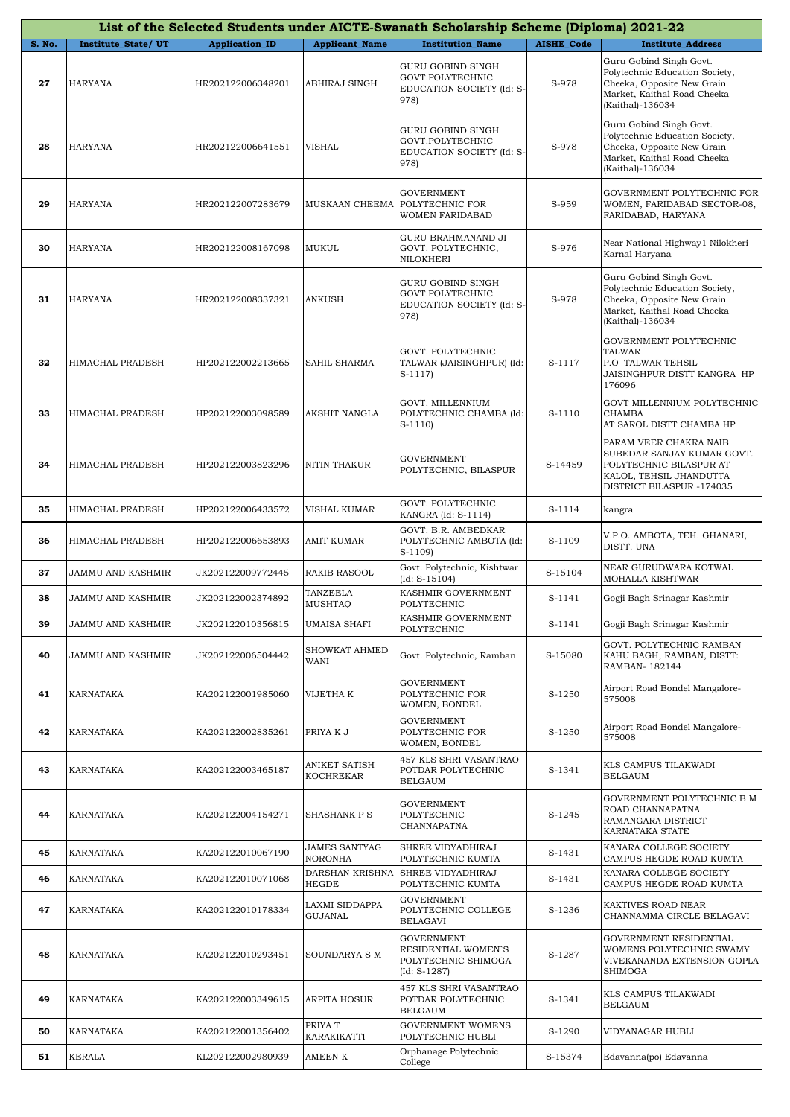|        |                           |                       |                                          | List of the Selected Students under AICTE-Swanath Scholarship Scheme (Diploma) 2021-22 |                   |                                                                                                                                            |
|--------|---------------------------|-----------------------|------------------------------------------|----------------------------------------------------------------------------------------|-------------------|--------------------------------------------------------------------------------------------------------------------------------------------|
| S. No. | <b>Institute State/UT</b> | <b>Application_ID</b> | <b>Applicant_Name</b>                    | <b>Institution Name</b>                                                                | <b>AISHE Code</b> | <b>Institute Address</b>                                                                                                                   |
| 27     | <b>HARYANA</b>            | HR202122006348201     | ABHIRAJ SINGH                            | <b>GURU GOBIND SINGH</b><br>GOVT.POLYTECHNIC<br>EDUCATION SOCIETY (Id: S-<br>978)      | S-978             | Guru Gobind Singh Govt.<br>Polytechnic Education Society,<br>Cheeka, Opposite New Grain<br>Market, Kaithal Road Cheeka<br>(Kaithal)-136034 |
| 28     | HARYANA                   | HR202122006641551     | <b>VISHAL</b>                            | GURU GOBIND SINGH<br>GOVT.POLYTECHNIC<br>EDUCATION SOCIETY (Id: S-<br>978)             | S-978             | Guru Gobind Singh Govt.<br>Polytechnic Education Society,<br>Cheeka, Opposite New Grain<br>Market, Kaithal Road Cheeka<br>(Kaithal)-136034 |
| 29     | <b>HARYANA</b>            | HR202122007283679     | MUSKAAN CHEEMA                           | <b>GOVERNMENT</b><br>POLYTECHNIC FOR<br>WOMEN FARIDABAD                                | S-959             | <b>GOVERNMENT POLYTECHNIC FOR</b><br>WOMEN, FARIDABAD SECTOR-08,<br>FARIDABAD, HARYANA                                                     |
| 30     | <b>HARYANA</b>            | HR202122008167098     | MUKUL                                    | GURU BRAHMANAND JI<br>GOVT. POLYTECHNIC,<br>NILOKHERI                                  | S-976             | Near National Highway1 Nilokheri<br>Karnal Haryana                                                                                         |
| 31     | <b>HARYANA</b>            | HR202122008337321     | <b>ANKUSH</b>                            | GURU GOBIND SINGH<br>GOVT.POLYTECHNIC<br>EDUCATION SOCIETY (Id: S-<br>978)             | S-978             | Guru Gobind Singh Govt.<br>Polytechnic Education Society,<br>Cheeka, Opposite New Grain<br>Market, Kaithal Road Cheeka<br>(Kaithal)-136034 |
| 32     | HIMACHAL PRADESH          | HP202122002213665     | <b>SAHIL SHARMA</b>                      | GOVT. POLYTECHNIC<br>TALWAR (JAISINGHPUR) (Id:<br>$S-1117$                             | S-1117            | GOVERNMENT POLYTECHNIC<br><b>TALWAR</b><br>P.O TALWAR TEHSIL<br>JAISINGHPUR DISTT KANGRA HP<br>176096                                      |
| 33     | HIMACHAL PRADESH          | HP202122003098589     | AKSHIT NANGLA                            | GOVT. MILLENNIUM<br>POLYTECHNIC CHAMBA (Id:<br>$S-1110$                                | S-1110            | GOVT MILLENNIUM POLYTECHNIC<br><b>CHAMBA</b><br>AT SAROL DISTT CHAMBA HP                                                                   |
| 34     | HIMACHAL PRADESH          | HP202122003823296     | NITIN THAKUR                             | <b>GOVERNMENT</b><br>POLYTECHNIC, BILASPUR                                             | S-14459           | PARAM VEER CHAKRA NAIB<br>SUBEDAR SANJAY KUMAR GOVT.<br>POLYTECHNIC BILASPUR AT<br>KALOL, TEHSIL JHANDUTTA<br>DISTRICT BILASPUR -174035    |
| 35     | HIMACHAL PRADESH          | HP202122006433572     | VISHAL KUMAR                             | GOVT. POLYTECHNIC<br>KANGRA (Id: S-1114)                                               | S-1114            | kangra                                                                                                                                     |
| 36     | HIMACHAL PRADESH          | HP202122006653893     | <b>AMIT KUMAR</b>                        | GOVT. B.R. AMBEDKAR<br>POLYTECHNIC AMBOTA (Id:<br>$S-1109$                             | S-1109            | V.P.O. AMBOTA, TEH. GHANARI,<br>DISTT. UNA                                                                                                 |
| 37     | JAMMU AND KASHMIR         | JK202122009772445     | RAKIB RASOOL                             | Govt. Polytechnic, Kishtwar<br>$(Id: S-15104)$                                         | S-15104           | NEAR GURUDWARA KOTWAL<br>MOHALLA KISHTWAR                                                                                                  |
| 38     | JAMMU AND KASHMIR         | JK202122002374892     | TANZEELA<br><b>MUSHTAQ</b>               | KASHMIR GOVERNMENT<br>POLYTECHNIC                                                      | S-1141            | Gogji Bagh Srinagar Kashmir                                                                                                                |
| 39     | <b>JAMMU AND KASHMIR</b>  | JK202122010356815     | <b>UMAISA SHAFI</b>                      | KASHMIR GOVERNMENT<br>POLYTECHNIC                                                      | S-1141            | Gogji Bagh Srinagar Kashmir                                                                                                                |
| 40     | JAMMU AND KASHMIR         | JK202122006504442     | SHOWKAT AHMED<br>WANI                    | Govt. Polytechnic, Ramban                                                              | S-15080           | GOVT. POLYTECHNIC RAMBAN<br>KAHU BAGH, RAMBAN, DISTT:<br>RAMBAN-182144                                                                     |
| 41     | KARNATAKA                 | KA202122001985060     | VIJETHA K                                | <b>GOVERNMENT</b><br>POLYTECHNIC FOR<br>WOMEN, BONDEL                                  | S-1250            | Airport Road Bondel Mangalore-<br>575008                                                                                                   |
| 42     | KARNATAKA                 | KA202122002835261     | PRIYA K J                                | <b>GOVERNMENT</b><br>POLYTECHNIC FOR<br>WOMEN, BONDEL                                  | S-1250            | Airport Road Bondel Mangalore-<br>575008                                                                                                   |
| 43     | KARNATAKA                 | KA202122003465187     | <b>ANIKET SATISH</b><br><b>KOCHREKAR</b> | 457 KLS SHRI VASANTRAO<br>POTDAR POLYTECHNIC<br>BELGAUM                                | S-1341            | KLS CAMPUS TILAKWADI<br><b>BELGAUM</b>                                                                                                     |
| 44     | KARNATAKA                 | KA202122004154271     | SHASHANK P S                             | <b>GOVERNMENT</b><br>POLYTECHNIC<br>CHANNAPATNA                                        | $S-1245$          | GOVERNMENT POLYTECHNIC B M<br>ROAD CHANNAPATNA<br>RAMANGARA DISTRICT<br>KARNATAKA STATE                                                    |
| 45     | KARNATAKA                 | KA202122010067190     | <b>JAMES SANTYAG</b><br><b>NORONHA</b>   | SHREE VIDYADHIRAJ<br>POLYTECHNIC KUMTA                                                 | S-1431            | KANARA COLLEGE SOCIETY<br>CAMPUS HEGDE ROAD KUMTA                                                                                          |
| 46     | KARNATAKA                 | KA202122010071068     | DARSHAN KRISHNA<br><b>HEGDE</b>          | SHREE VIDYADHIRAJ<br>POLYTECHNIC KUMTA                                                 | S-1431            | KANARA COLLEGE SOCIETY<br>CAMPUS HEGDE ROAD KUMTA                                                                                          |
| 47     | KARNATAKA                 | KA202122010178334     | LAXMI SIDDAPPA<br>GUJANAL                | <b>GOVERNMENT</b><br>POLYTECHNIC COLLEGE<br><b>BELAGAVI</b>                            | S-1236            | KAKTIVES ROAD NEAR<br>CHANNAMMA CIRCLE BELAGAVI                                                                                            |
| 48     | KARNATAKA                 | KA202122010293451     | SOUNDARYA S M                            | <b>GOVERNMENT</b><br>RESIDENTIAL WOMEN'S<br>POLYTECHNIC SHIMOGA<br>$(Id: S-1287)$      | S-1287            | GOVERNMENT RESIDENTIAL<br>WOMENS POLYTECHNIC SWAMY<br>VIVEKANANDA EXTENSION GOPLA<br>SHIMOGA                                               |
| 49     | KARNATAKA                 | KA202122003349615     | <b>ARPITA HOSUR</b>                      | 457 KLS SHRI VASANTRAO<br>POTDAR POLYTECHNIC<br><b>BELGAUM</b>                         | S-1341            | KLS CAMPUS TILAKWADI<br><b>BELGAUM</b>                                                                                                     |
| 50     | <b>KARNATAKA</b>          | KA202122001356402     | PRIYA T<br><b>KARAKIKATTI</b>            | <b>GOVERNMENT WOMENS</b><br>POLYTECHNIC HUBLI                                          | S-1290            | VIDYANAGAR HUBLI                                                                                                                           |
| 51     | <b>KERALA</b>             | KL202122002980939     | <b>AMEEN K</b>                           | Orphanage Polytechnic<br>College                                                       | S-15374           | Edavanna(po) Edavanna                                                                                                                      |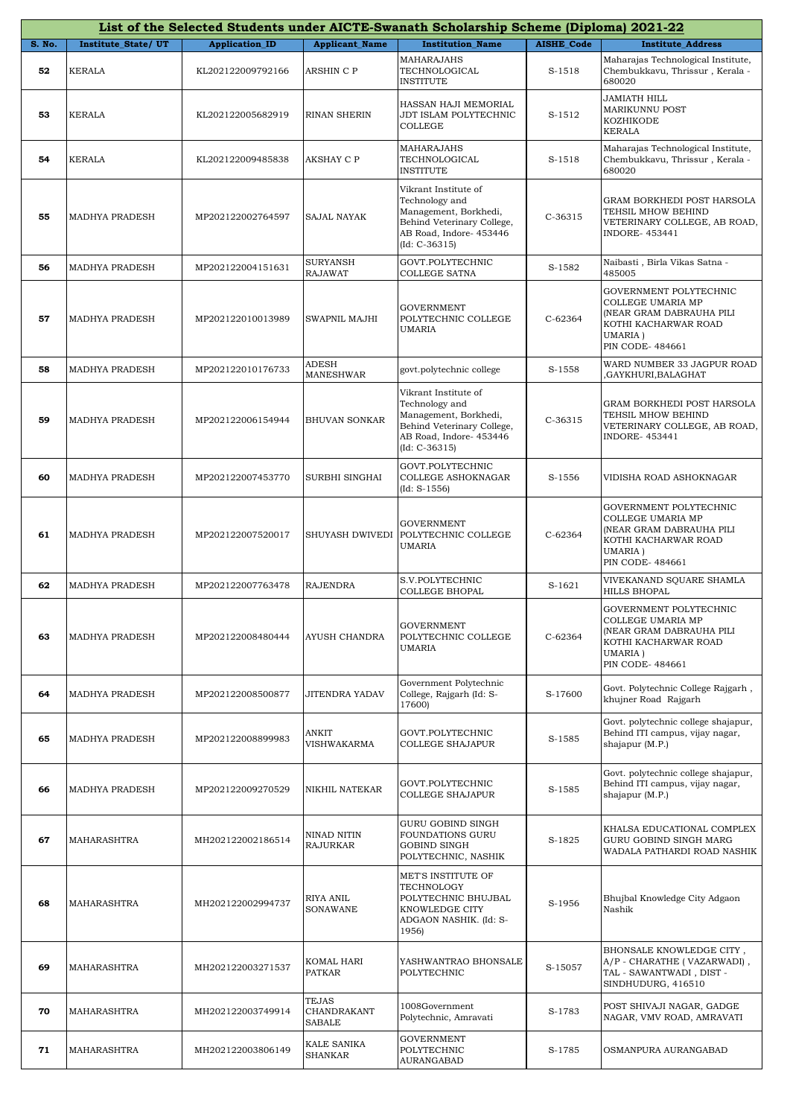|        | List of the Selected Students under AICTE-Swanath Scholarship Scheme (Diploma) 2021-22 |                       |                                              |                                                                                                                                             |                   |                                                                                                                                        |  |  |
|--------|----------------------------------------------------------------------------------------|-----------------------|----------------------------------------------|---------------------------------------------------------------------------------------------------------------------------------------------|-------------------|----------------------------------------------------------------------------------------------------------------------------------------|--|--|
| S. No. | <b>Institute State/UT</b>                                                              | <b>Application_ID</b> | <b>Applicant_Name</b>                        | <b>Institution Name</b>                                                                                                                     | <b>AISHE_Code</b> | <b>Institute_Address</b>                                                                                                               |  |  |
| 52     | <b>KERALA</b>                                                                          | KL202122009792166     | ARSHIN C P                                   | MAHARAJAHS<br>TECHNOLOGICAL<br><b>INSTITUTE</b>                                                                                             | S-1518            | Maharajas Technological Institute,<br>Chembukkavu, Thrissur, Kerala -<br>680020                                                        |  |  |
| 53     | KERALA                                                                                 | KL202122005682919     | RINAN SHERIN                                 | HASSAN HAJI MEMORIAL<br>JDT ISLAM POLYTECHNIC<br><b>COLLEGE</b>                                                                             | S-1512            | JAMIATH HILL<br>MARIKUNNU POST<br>KOZHIKODE<br><b>KERALA</b>                                                                           |  |  |
| 54     | KERALA                                                                                 | KL202122009485838     | AKSHAY C P                                   | MAHARAJAHS<br>TECHNOLOGICAL<br><b>INSTITUTE</b>                                                                                             | S-1518            | Maharajas Technological Institute,<br>Chembukkavu, Thrissur, Kerala -<br>680020                                                        |  |  |
| 55     | MADHYA PRADESH                                                                         | MP202122002764597     | SAJAL NAYAK                                  | Vikrant Institute of<br>Technology and<br>Management, Borkhedi,<br>Behind Veterinary College,<br>AB Road, Indore- 453446<br>$(Id: C-36315)$ | C-36315           | GRAM BORKHEDI POST HARSOLA<br>TEHSIL MHOW BEHIND<br>VETERINARY COLLEGE, AB ROAD,<br><b>INDORE-453441</b>                               |  |  |
| 56     | MADHYA PRADESH                                                                         | MP202122004151631     | <b>SURYANSH</b><br><b>RAJAWAT</b>            | GOVT.POLYTECHNIC<br>COLLEGE SATNA                                                                                                           | S-1582            | Naibasti, Birla Vikas Satna -<br>485005                                                                                                |  |  |
| 57     | MADHYA PRADESH                                                                         | MP202122010013989     | SWAPNIL MAJHI                                | <b>GOVERNMENT</b><br>POLYTECHNIC COLLEGE<br><b>UMARIA</b>                                                                                   | $C-62364$         | GOVERNMENT POLYTECHNIC<br>COLLEGE UMARIA MP<br>(NEAR GRAM DABRAUHA PILI<br>KOTHI KACHARWAR ROAD<br><b>UMARIA</b> )<br>PIN CODE- 484661 |  |  |
| 58     | MADHYA PRADESH                                                                         | MP202122010176733     | <b>ADESH</b><br>MANESHWAR                    | govt.polytechnic college                                                                                                                    | S-1558            | WARD NUMBER 33 JAGPUR ROAD<br>GAYKHURI, BALAGHAT,                                                                                      |  |  |
| 59     | MADHYA PRADESH                                                                         | MP202122006154944     | <b>BHUVAN SONKAR</b>                         | Vikrant Institute of<br>Technology and<br>Management, Borkhedi,<br>Behind Veterinary College,<br>AB Road, Indore- 453446<br>$(Id: C-36315)$ | $C-36315$         | GRAM BORKHEDI POST HARSOLA<br>TEHSIL MHOW BEHIND<br>VETERINARY COLLEGE, AB ROAD,<br><b>INDORE-453441</b>                               |  |  |
| 60     | MADHYA PRADESH                                                                         | MP202122007453770     | SURBHI SINGHAI                               | GOVT.POLYTECHNIC<br>COLLEGE ASHOKNAGAR<br>$(Id: S-1556)$                                                                                    | S-1556            | VIDISHA ROAD ASHOKNAGAR                                                                                                                |  |  |
| 61     | MADHYA PRADESH                                                                         | MP202122007520017     | SHUYASH DWIVEDI                              | GOVERNMENT<br>POLYTECHNIC COLLEGE<br>UMARIA                                                                                                 | C-62364           | GOVERNMENT POLYTECHNIC<br>COLLEGE UMARIA MP<br>(NEAR GRAM DABRAUHA PILI<br>KOTHI KACHARWAR ROAD<br>UMARIA)<br><b>PIN CODE-484661</b>   |  |  |
| 62     | MADHYA PRADESH                                                                         | MP202122007763478     | <b>RAJENDRA</b>                              | S.V.POLYTECHNIC<br>COLLEGE BHOPAL                                                                                                           | $S-1621$          | VIVEKANAND SQUARE SHAMLA<br>HILLS BHOPAL                                                                                               |  |  |
| 63     | MADHYA PRADESH                                                                         | MP202122008480444     | AYUSH CHANDRA                                | <b>GOVERNMENT</b><br>POLYTECHNIC COLLEGE<br>UMARIA                                                                                          | $C-62364$         | GOVERNMENT POLYTECHNIC<br>COLLEGE UMARIA MP<br>(NEAR GRAM DABRAUHA PILI<br>KOTHI KACHARWAR ROAD<br>UMARIA)<br>PIN CODE- 484661         |  |  |
| 64     | MADHYA PRADESH                                                                         | MP202122008500877     | JITENDRA YADAV                               | Government Polytechnic<br>College, Rajgarh (Id: S-<br>17600)                                                                                | S-17600           | Govt. Polytechnic College Rajgarh,<br>khujner Road Rajgarh                                                                             |  |  |
| 65     | MADHYA PRADESH                                                                         | MP202122008899983     | ANKIT<br><b>VISHWAKARMA</b>                  | GOVT.POLYTECHNIC<br>COLLEGE SHAJAPUR                                                                                                        | S-1585            | Govt. polytechnic college shajapur,<br>Behind ITI campus, vijay nagar,<br>shajapur (M.P.)                                              |  |  |
| 66     | MADHYA PRADESH                                                                         | MP202122009270529     | NIKHIL NATEKAR                               | GOVT.POLYTECHNIC<br>COLLEGE SHAJAPUR                                                                                                        | S-1585            | Govt. polytechnic college shajapur,<br>Behind ITI campus, vijay nagar,<br>shajapur (M.P.)                                              |  |  |
| 67     | MAHARASHTRA                                                                            | MH202122002186514     | NINAD NITIN<br><b>RAJURKAR</b>               | GURU GOBIND SINGH<br>FOUNDATIONS GURU<br>GOBIND SINGH<br>POLYTECHNIC, NASHIK                                                                | S-1825            | KHALSA EDUCATIONAL COMPLEX<br>GURU GOBIND SINGH MARG<br>WADALA PATHARDI ROAD NASHIK                                                    |  |  |
| 68     | MAHARASHTRA                                                                            | MH202122002994737     | RIYA ANIL<br><b>SONAWANE</b>                 | MET'S INSTITUTE OF<br>TECHNOLOGY<br>POLYTECHNIC BHUJBAL<br>KNOWLEDGE CITY<br>ADGAON NASHIK. (Id: S-<br>1956)                                | S-1956            | Bhujbal Knowledge City Adgaon<br>Nashik                                                                                                |  |  |
| 69     | MAHARASHTRA                                                                            | MH202122003271537     | KOMAL HARI<br><b>PATKAR</b>                  | YASHWANTRAO BHONSALE<br>POLYTECHNIC                                                                                                         | S-15057           | BHONSALE KNOWLEDGE CITY,<br>A/P - CHARATHE (VAZARWADI),<br>TAL - SAWANTWADI, DIST -<br>SINDHUDURG, 416510                              |  |  |
| 70     | MAHARASHTRA                                                                            | MH202122003749914     | <b>TEJAS</b><br>CHANDRAKANT<br><b>SABALE</b> | 1008Government<br>Polytechnic, Amravati                                                                                                     | S-1783            | POST SHIVAJI NAGAR, GADGE<br>NAGAR, VMV ROAD, AMRAVATI                                                                                 |  |  |
| 71     | MAHARASHTRA                                                                            | MH202122003806149     | KALE SANIKA<br>SHANKAR                       | GOVERNMENT<br>POLYTECHNIC<br>AURANGABAD                                                                                                     | S-1785            | OSMANPURA AURANGABAD                                                                                                                   |  |  |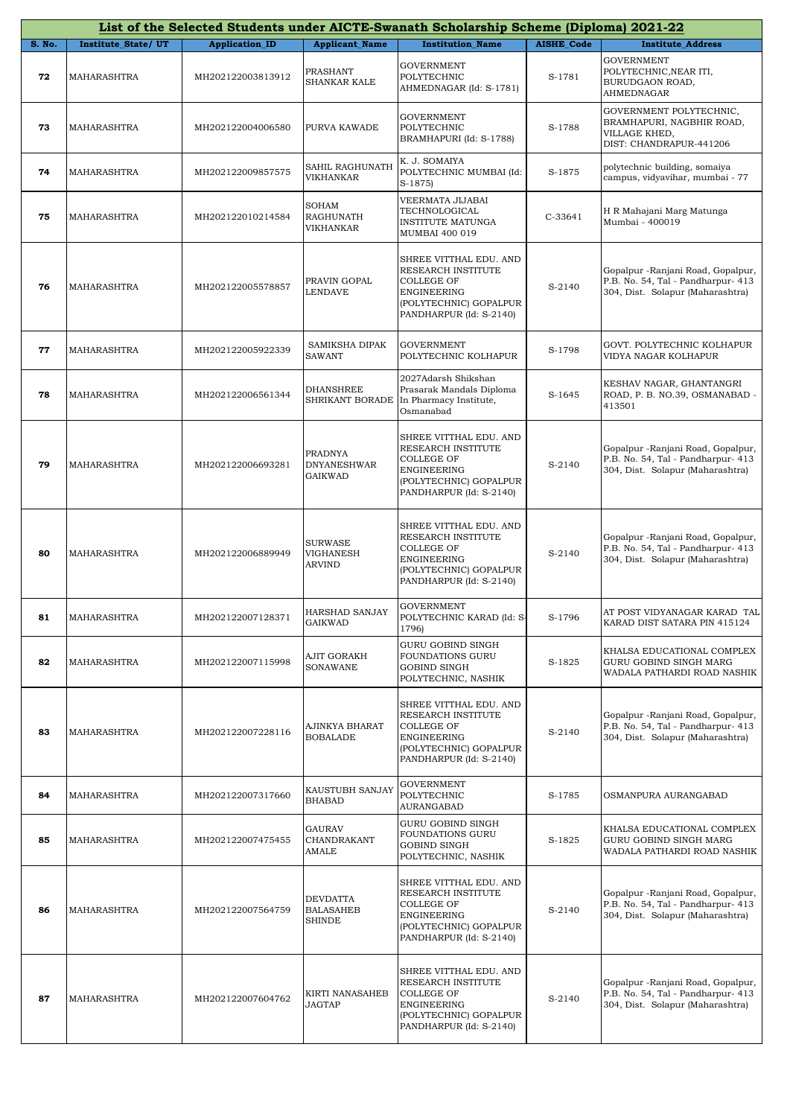|        |                           |                       |                                                        | List of the Selected Students under AICTE-Swanath Scholarship Scheme (Diploma) 2021-22                                                |                   |                                                                                                             |
|--------|---------------------------|-----------------------|--------------------------------------------------------|---------------------------------------------------------------------------------------------------------------------------------------|-------------------|-------------------------------------------------------------------------------------------------------------|
| S. No. | <b>Institute State/UT</b> | <b>Application_ID</b> | <b>Applicant_Name</b>                                  | <b>Institution Name</b>                                                                                                               | <b>AISHE Code</b> | <b>Institute Address</b>                                                                                    |
| 72     | MAHARASHTRA               | MH202122003813912     | PRASHANT<br>SHANKAR KALE                               | <b>GOVERNMENT</b><br>POLYTECHNIC<br>AHMEDNAGAR (Id: S-1781)                                                                           | S-1781            | <b>GOVERNMENT</b><br>POLYTECHNIC, NEAR ITI,<br>BURUDGAON ROAD,<br><b>AHMEDNAGAR</b>                         |
| 73     | MAHARASHTRA               | MH202122004006580     | PURVA KAWADE                                           | <b>GOVERNMENT</b><br>POLYTECHNIC<br>BRAMHAPURI (Id: S-1788)                                                                           | S-1788            | GOVERNMENT POLYTECHNIC,<br>BRAMHAPURI, NAGBHIR ROAD,<br>VILLAGE KHED,<br>DIST: CHANDRAPUR-441206            |
| 74     | MAHARASHTRA               | MH202122009857575     | SAHIL RAGHUNATH<br>VIKHANKAR                           | K. J. SOMAIYA<br>POLYTECHNIC MUMBAI (Id:<br>$S-1875$                                                                                  | S-1875            | polytechnic building, somaiya<br>campus, vidyavihar, mumbai - 77                                            |
| 75     | MAHARASHTRA               | MH202122010214584     | SOHAM<br>RAGHUNATH<br>VIKHANKAR                        | VEERMATA JIJABAI<br>TECHNOLOGICAL<br><b>INSTITUTE MATUNGA</b><br>MUMBAI 400 019                                                       | $C-33641$         | H R Mahajani Marg Matunga<br>Mumbai - 400019                                                                |
| 76     | MAHARASHTRA               | MH202122005578857     | PRAVIN GOPAL<br><b>LENDAVE</b>                         | SHREE VITTHAL EDU. AND<br>RESEARCH INSTITUTE<br><b>COLLEGE OF</b><br>ENGINEERING<br>(POLYTECHNIC) GOPALPUR<br>PANDHARPUR (Id: S-2140) | S-2140            | Gopalpur -Ranjani Road, Gopalpur,<br>P.B. No. 54, Tal - Pandharpur- 413<br>304, Dist. Solapur (Maharashtra) |
| 77     | MAHARASHTRA               | MH202122005922339     | SAMIKSHA DIPAK<br><b>SAWANT</b>                        | <b>GOVERNMENT</b><br>POLYTECHNIC KOLHAPUR                                                                                             | S-1798            | GOVT. POLYTECHNIC KOLHAPUR<br>VIDYA NAGAR KOLHAPUR                                                          |
| 78     | MAHARASHTRA               | MH202122006561344     | DHANSHREE<br>SHRIKANT BORADE                           | 2027Adarsh Shikshan<br>Prasarak Mandals Diploma<br>In Pharmacy Institute,<br>Osmanabad                                                | S-1645            | KESHAV NAGAR, GHANTANGRI<br>ROAD, P. B. NO.39, OSMANABAD -<br>413501                                        |
| 79     | MAHARASHTRA               | MH202122006693281     | <b>PRADNYA</b><br><b>DNYANESHWAR</b><br><b>GAIKWAD</b> | SHREE VITTHAL EDU. AND<br>RESEARCH INSTITUTE<br>COLLEGE OF<br><b>ENGINEERING</b><br>(POLYTECHNIC) GOPALPUR<br>PANDHARPUR (Id: S-2140) | S-2140            | Gopalpur -Ranjani Road, Gopalpur,<br>P.B. No. 54, Tal - Pandharpur- 413<br>304, Dist. Solapur (Maharashtra) |
| 80     | MAHARASHTRA               | MH202122006889949     | <b>SURWASE</b><br>VIGHANESH<br><b>ARVIND</b>           | SHREE VITTHAL EDU. AND<br>RESEARCH INSTITUTE<br>COLLEGE OF<br>ENGINEERING<br>(POLYTECHNIC) GOPALPUR<br>PANDHARPUR (Id: S-2140)        | S-2140            | Gopalpur -Ranjani Road, Gopalpur,<br>P.B. No. 54, Tal - Pandharpur- 413<br>304, Dist. Solapur (Maharashtra) |
| 81     | <b>MAHARASHTRA</b>        | MH202122007128371     | HARSHAD SANJAY<br><b>GAIKWAD</b>                       | GOVERNMENT<br>POLYTECHNIC KARAD (Id: S-<br>1796)                                                                                      | S-1796            | AT POST VIDYANAGAR KARAD TAL<br>KARAD DIST SATARA PIN 415124                                                |
| 82     | MAHARASHTRA               | MH202122007115998     | AJIT GORAKH<br><b>SONAWANE</b>                         | GURU GOBIND SINGH<br><b>FOUNDATIONS GURU</b><br><b>GOBIND SINGH</b><br>POLYTECHNIC, NASHIK                                            | S-1825            | KHALSA EDUCATIONAL COMPLEX<br>GURU GOBIND SINGH MARG<br>WADALA PATHARDI ROAD NASHIK                         |
| 83     | MAHARASHTRA               | MH202122007228116     | AJINKYA BHARAT<br><b>BOBALADE</b>                      | SHREE VITTHAL EDU. AND<br>RESEARCH INSTITUTE<br>COLLEGE OF<br>ENGINEERING<br>(POLYTECHNIC) GOPALPUR<br>PANDHARPUR (Id: S-2140)        | S-2140            | Gopalpur -Ranjani Road, Gopalpur,<br>P.B. No. 54, Tal - Pandharpur- 413<br>304, Dist. Solapur (Maharashtra) |
| 84     | MAHARASHTRA               | MH202122007317660     | KAUSTUBH SANJAY<br><b>BHABAD</b>                       | <b>GOVERNMENT</b><br>POLYTECHNIC<br><b>AURANGABAD</b>                                                                                 | S-1785            | OSMANPURA AURANGABAD                                                                                        |
| 85     | MAHARASHTRA               | MH202122007475455     | GAURAV<br>CHANDRAKANT<br>AMALE                         | GURU GOBIND SINGH<br>FOUNDATIONS GURU<br><b>GOBIND SINGH</b><br>POLYTECHNIC, NASHIK                                                   | S-1825            | KHALSA EDUCATIONAL COMPLEX<br>GURU GOBIND SINGH MARG<br>WADALA PATHARDI ROAD NASHIK                         |
| 86     | MAHARASHTRA               | MH202122007564759     | DEVDATTA<br><b>BALASAHEB</b><br><b>SHINDE</b>          | SHREE VITTHAL EDU. AND<br>RESEARCH INSTITUTE<br>COLLEGE OF<br>ENGINEERING<br>(POLYTECHNIC) GOPALPUR<br>PANDHARPUR (Id: S-2140)        | S-2140            | Gopalpur -Ranjani Road, Gopalpur,<br>P.B. No. 54, Tal - Pandharpur- 413<br>304, Dist. Solapur (Maharashtra) |
| 87     | MAHARASHTRA               | MH202122007604762     | KIRTI NANASAHEB<br>JAGTAP                              | SHREE VITTHAL EDU. AND<br>RESEARCH INSTITUTE<br><b>COLLEGE OF</b><br>ENGINEERING<br>(POLYTECHNIC) GOPALPUR<br>PANDHARPUR (Id: S-2140) | S-2140            | Gopalpur -Ranjani Road, Gopalpur,<br>P.B. No. 54, Tal - Pandharpur- 413<br>304, Dist. Solapur (Maharashtra) |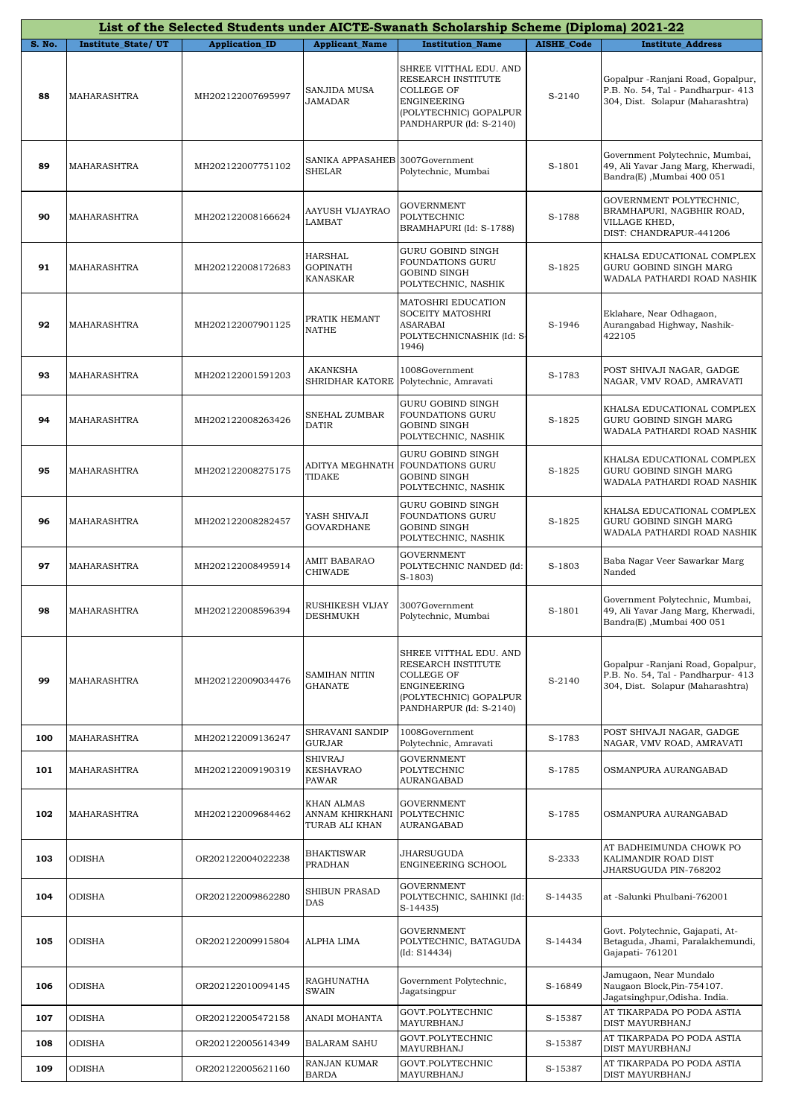|        |                           |                       |                                                  | List of the Selected Students under AICTE-Swanath Scholarship Scheme (Diploma) 2021-22                                                       |                   |                                                                                                              |
|--------|---------------------------|-----------------------|--------------------------------------------------|----------------------------------------------------------------------------------------------------------------------------------------------|-------------------|--------------------------------------------------------------------------------------------------------------|
| S. No. | <b>Institute State/UT</b> | <b>Application_ID</b> | <b>Applicant Name</b>                            | <b>Institution Name</b>                                                                                                                      | <b>AISHE Code</b> | <b>Institute Address</b>                                                                                     |
| 88     | MAHARASHTRA               | MH202122007695997     | SANJIDA MUSA<br>JAMADAR                          | SHREE VITTHAL EDU. AND<br>RESEARCH INSTITUTE<br><b>COLLEGE OF</b><br><b>ENGINEERING</b><br>(POLYTECHNIC) GOPALPUR<br>PANDHARPUR (Id: S-2140) | S-2140            | Gopalpur - Ranjani Road, Gopalpur,<br>P.B. No. 54, Tal - Pandharpur- 413<br>304, Dist. Solapur (Maharashtra) |
| 89     | MAHARASHTRA               | MH202122007751102     | SANIKA APPASAHEB 3007Government<br><b>SHELAR</b> | Polytechnic, Mumbai                                                                                                                          | S-1801            | Government Polytechnic, Mumbai,<br>49, Ali Yavar Jang Marg, Kherwadi,<br>Bandra(E), Mumbai 400 051           |
| 90     | MAHARASHTRA               | MH202122008166624     | AAYUSH VIJAYRAO<br>LAMBAT                        | GOVERNMENT<br>POLYTECHNIC<br>BRAMHAPURI (Id: S-1788)                                                                                         | S-1788            | GOVERNMENT POLYTECHNIC,<br>BRAMHAPURI, NAGBHIR ROAD,<br>VILLAGE KHED,<br>DIST: CHANDRAPUR-441206             |
| 91     | MAHARASHTRA               | MH202122008172683     | HARSHAL<br><b>GOPINATH</b><br>KANASKAR           | GURU GOBIND SINGH<br>FOUNDATIONS GURU<br><b>GOBIND SINGH</b><br>POLYTECHNIC, NASHIK                                                          | S-1825            | KHALSA EDUCATIONAL COMPLEX<br>GURU GOBIND SINGH MARG<br>WADALA PATHARDI ROAD NASHIK                          |
| 92     | MAHARASHTRA               | MH202122007901125     | PRATIK HEMANT<br><b>NATHE</b>                    | MATOSHRI EDUCATION<br>SOCEITY MATOSHRI<br><b>ASARABAI</b><br>POLYTECHNICNASHIK (Id: S-<br>1946)                                              | S-1946            | Eklahare, Near Odhagaon,<br>Aurangabad Highway, Nashik-<br>422105                                            |
| 93     | MAHARASHTRA               | MH202122001591203     | AKANKSHA                                         | 1008Government<br>SHRIDHAR KATORE Polytechnic, Amravati                                                                                      | S-1783            | POST SHIVAJI NAGAR, GADGE<br>NAGAR, VMV ROAD, AMRAVATI                                                       |
| 94     | MAHARASHTRA               | MH202122008263426     | SNEHAL ZUMBAR<br><b>DATIR</b>                    | GURU GOBIND SINGH<br>FOUNDATIONS GURU<br><b>GOBIND SINGH</b><br>POLYTECHNIC, NASHIK                                                          | S-1825            | KHALSA EDUCATIONAL COMPLEX<br>GURU GOBIND SINGH MARG<br>WADALA PATHARDI ROAD NASHIK                          |
| 95     | MAHARASHTRA               | MH202122008275175     | ADITYA MEGHNATH<br>TIDAKE                        | GURU GOBIND SINGH<br><b>FOUNDATIONS GURU</b><br><b>GOBIND SINGH</b><br>POLYTECHNIC, NASHIK                                                   | S-1825            | KHALSA EDUCATIONAL COMPLEX<br>GURU GOBIND SINGH MARG<br>WADALA PATHARDI ROAD NASHIK                          |
| 96     | MAHARASHTRA               | MH202122008282457     | YASH SHIVAJI<br><b>GOVARDHANE</b>                | GURU GOBIND SINGH<br>FOUNDATIONS GURU<br><b>GOBIND SINGH</b><br>POLYTECHNIC, NASHIK                                                          | S-1825            | KHALSA EDUCATIONAL COMPLEX<br>GURU GOBIND SINGH MARG<br>WADALA PATHARDI ROAD NASHIK                          |
| 97     | MAHARASHTRA               | MH202122008495914     | AMIT BABARAO<br>CHIWADE                          | <b>GOVERNMENT</b><br>POLYTECHNIC NANDED (Id:<br>$S-1803$                                                                                     | S-1803            | Baba Nagar Veer Sawarkar Marg<br>Nanded                                                                      |
| 98     | MAHARASHTRA               | MH202122008596394     | RUSHIKESH VIJAY<br>DESHMUKH                      | 3007Government<br>Polytechnic, Mumbai                                                                                                        | S-1801            | Government Polytechnic, Mumbai,<br>49, Ali Yavar Jang Marg, Kherwadi,<br>Bandra(E), Mumbai 400 051           |
| 99     | MAHARASHTRA               | MH202122009034476     | SAMIHAN NITIN<br><b>GHANATE</b>                  | SHREE VITTHAL EDU. AND<br>RESEARCH INSTITUTE<br>COLLEGE OF<br><b>ENGINEERING</b><br>(POLYTECHNIC) GOPALPUR<br>PANDHARPUR (Id: S-2140)        | S-2140            | Gopalpur -Ranjani Road, Gopalpur,<br>P.B. No. 54, Tal - Pandharpur- 413<br>304, Dist. Solapur (Maharashtra)  |
| 100    | MAHARASHTRA               | MH202122009136247     | SHRAVANI SANDIP<br><b>GURJAR</b>                 | 1008Government<br>Polytechnic, Amravati                                                                                                      | S-1783            | POST SHIVAJI NAGAR, GADGE<br>NAGAR, VMV ROAD, AMRAVATI                                                       |
| 101    | <b>MAHARASHTRA</b>        | MH202122009190319     | <b>SHIVRAJ</b><br><b>KESHAVRAO</b><br>PAWAR      | <b>GOVERNMENT</b><br>POLYTECHNIC<br>AURANGABAD                                                                                               | S-1785            | OSMANPURA AURANGABAD                                                                                         |
| 102    | MAHARASHTRA               | MH202122009684462     | KHAN ALMAS<br>ANNAM KHIRKHANI<br>TURAB ALI KHAN  | <b>GOVERNMENT</b><br>POLYTECHNIC<br>AURANGABAD                                                                                               | S-1785            | OSMANPURA AURANGABAD                                                                                         |
| 103    | ODISHA                    | OR202122004022238     | <b>BHAKTISWAR</b><br>PRADHAN                     | JHARSUGUDA<br>ENGINEERING SCHOOL                                                                                                             | S-2333            | AT BADHEIMUNDA CHOWK PO<br>KALIMANDIR ROAD DIST<br>JHARSUGUDA PIN-768202                                     |
| 104    | ODISHA                    | OR202122009862280     | SHIBUN PRASAD<br>DAS                             | GOVERNMENT<br>POLYTECHNIC, SAHINKI (Id:<br>S-14435)                                                                                          | S-14435           | at -Salunki Phulbani-762001                                                                                  |
| 105    | <b>ODISHA</b>             | OR202122009915804     | ALPHA LIMA                                       | <b>GOVERNMENT</b><br>POLYTECHNIC, BATAGUDA<br>(Id: S14434)                                                                                   | S-14434           | Govt. Polytechnic, Gajapati, At-<br>Betaguda, Jhami, Paralakhemundi,<br>Gajapati-761201                      |
| 106    | ODISHA                    | OR202122010094145     | RAGHUNATHA<br><b>SWAIN</b>                       | Government Polytechnic,<br>Jagatsingpur                                                                                                      | S-16849           | Jamugaon, Near Mundalo<br>Naugaon Block, Pin-754107.<br>Jagatsinghpur, Odisha. India.                        |
| 107    | ODISHA                    | OR202122005472158     | ANADI MOHANTA                                    | GOVT.POLYTECHNIC<br>MAYURBHANJ                                                                                                               | S-15387           | AT TIKARPADA PO PODA ASTIA<br>DIST MAYURBHANJ                                                                |
| 108    | ODISHA                    | OR202122005614349     | <b>BALARAM SAHU</b>                              | GOVT.POLYTECHNIC<br>MAYURBHANJ                                                                                                               | S-15387           | AT TIKARPADA PO PODA ASTIA<br>DIST MAYURBHANJ                                                                |
| 109    | <b>ODISHA</b>             | OR202122005621160     | RANJAN KUMAR<br><b>BARDA</b>                     | GOVT.POLYTECHNIC<br>MAYURBHANJ                                                                                                               | S-15387           | AT TIKARPADA PO PODA ASTIA<br>DIST MAYURBHANJ                                                                |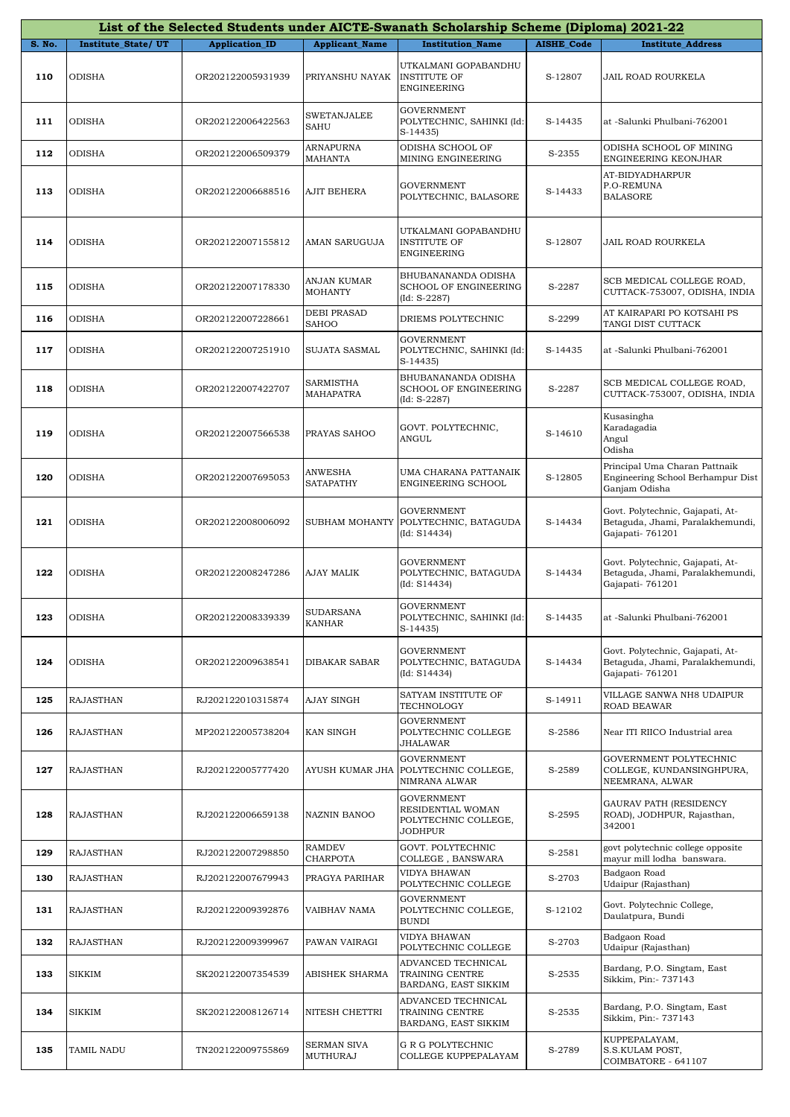|        |                           |                       |                               | List of the Selected Students under AICTE-Swanath Scholarship Scheme (Diploma) 2021-22 |                   |                                                                                         |
|--------|---------------------------|-----------------------|-------------------------------|----------------------------------------------------------------------------------------|-------------------|-----------------------------------------------------------------------------------------|
| S. No. | <b>Institute State/UT</b> | <b>Application_ID</b> | <b>Applicant_Name</b>         | <b>Institution Name</b>                                                                | <b>AISHE Code</b> | <b>Institute Address</b>                                                                |
| 110    | ODISHA                    | OR202122005931939     | PRIYANSHU NAYAK               | UTKALMANI GOPABANDHU<br><b>INSTITUTE OF</b><br><b>ENGINEERING</b>                      | S-12807           | JAIL ROAD ROURKELA                                                                      |
| 111    | ODISHA                    | OR202122006422563     | <b>SWETANJALEE</b><br>SAHU    | <b>GOVERNMENT</b><br>POLYTECHNIC, SAHINKI (Id:<br>$S-14435$                            | S-14435           | at -Salunki Phulbani-762001                                                             |
| 112    | ODISHA                    | OR202122006509379     | ARNAPURNA<br>MAHANTA          | ODISHA SCHOOL OF<br>MINING ENGINEERING                                                 | S-2355            | ODISHA SCHOOL OF MINING<br>ENGINEERING KEONJHAR                                         |
| 113    | ODISHA                    | OR202122006688516     | AJIT BEHERA                   | <b>GOVERNMENT</b><br>POLYTECHNIC, BALASORE                                             | S-14433           | AT-BIDYADHARPUR<br>P.O-REMUNA<br><b>BALASORE</b>                                        |
| 114    | ODISHA                    | OR202122007155812     | AMAN SARUGUJA                 | UTKALMANI GOPABANDHU<br><b>INSTITUTE OF</b><br>ENGINEERING                             | S-12807           | JAIL ROAD ROURKELA                                                                      |
| 115    | <b>ODISHA</b>             | OR202122007178330     | ANJAN KUMAR<br><b>MOHANTY</b> | BHUBANANANDA ODISHA<br><b>SCHOOL OF ENGINEERING</b><br>$(Id: S-2287)$                  | S-2287            | SCB MEDICAL COLLEGE ROAD,<br>CUTTACK-753007, ODISHA, INDIA                              |
| 116    | ODISHA                    | OR202122007228661     | DEBI PRASAD<br>SAHOO          | DRIEMS POLYTECHNIC                                                                     | S-2299            | AT KAIRAPARI PO KOTSAHI PS<br>TANGI DIST CUTTACK                                        |
| 117    | <b>ODISHA</b>             | OR202122007251910     | SUJATA SASMAL                 | <b>GOVERNMENT</b><br>POLYTECHNIC, SAHINKI (Id:<br>$S-14435$                            | S-14435           | at -Salunki Phulbani-762001                                                             |
| 118    | ODISHA                    | OR202122007422707     | SARMISTHA<br>MAHAPATRA        | BHUBANANANDA ODISHA<br>SCHOOL OF ENGINEERING<br>$(Id: S-2287)$                         | S-2287            | SCB MEDICAL COLLEGE ROAD,<br>CUTTACK-753007, ODISHA, INDIA                              |
| 119    | ODISHA                    | OR202122007566538     | PRAYAS SAHOO                  | GOVT. POLYTECHNIC,<br>ANGUL                                                            | S-14610           | Kusasingha<br>Karadagadia<br>Angul<br>Odisha                                            |
| 120    | ODISHA                    | OR202122007695053     | ANWESHA<br><b>SATAPATHY</b>   | UMA CHARANA PATTANAIK<br>ENGINEERING SCHOOL                                            | S-12805           | Principal Uma Charan Pattnaik<br>Engineering School Berhampur Dist<br>Ganjam Odisha     |
| 121    | ODISHA                    | OR202122008006092     | SUBHAM MOHANTY                | <b>GOVERNMENT</b><br>POLYTECHNIC, BATAGUDA<br>(Id: S14434)                             | S-14434           | Govt. Polytechnic, Gajapati, At-<br>Betaguda, Jhami, Paralakhemundi,<br>Gajapati-761201 |
| 122    | ODISHA                    | OR202122008247286     | AJAY MALIK                    | <b>GOVERNMENT</b><br>POLYTECHNIC, BATAGUDA<br>(Id: S14434)                             | S-14434           | Govt. Polytechnic, Gajapati, At-<br>Betaguda, Jhami, Paralakhemundi,<br>Gajapati-761201 |
| 123    | <b>ODISHA</b>             | OR202122008339339     | <b>SUDARSANA</b><br>KANHAR    | <b>GOVERNMENT</b><br>POLYTECHNIC, SAHINKI (Id:<br>$S-14435$                            | S-14435           | at -Salunki Phulbani-762001                                                             |
| 124    | ODISHA                    | OR202122009638541     | DIBAKAR SABAR                 | <b>GOVERNMENT</b><br>POLYTECHNIC, BATAGUDA<br>(Id: S14434)                             | S-14434           | Govt. Polytechnic, Gajapati, At-<br>Betaguda, Jhami, Paralakhemundi,<br>Gajapati-761201 |
| 125    | RAJASTHAN                 | RJ202122010315874     | AJAY SINGH                    | SATYAM INSTITUTE OF<br>TECHNOLOGY                                                      | S-14911           | VILLAGE SANWA NH8 UDAIPUR<br>ROAD BEAWAR                                                |
| 126    | RAJASTHAN                 | MP202122005738204     | KAN SINGH                     | <b>GOVERNMENT</b><br>POLYTECHNIC COLLEGE<br>JHALAWAR                                   | S-2586            | Near ITI RIICO Industrial area                                                          |
| 127    | RAJASTHAN                 | RJ202122005777420     | AYUSH KUMAR JHA               | <b>GOVERNMENT</b><br>POLYTECHNIC COLLEGE,<br>NIMRANA ALWAR                             | S-2589            | GOVERNMENT POLYTECHNIC<br>COLLEGE, KUNDANSINGHPURA,<br>NEEMRANA, ALWAR                  |
| 128    | RAJASTHAN                 | RJ202122006659138     | NAZNIN BANOO                  | <b>GOVERNMENT</b><br>RESIDENTIAL WOMAN<br>POLYTECHNIC COLLEGE,<br>JODHPUR              | S-2595            | GAURAV PATH (RESIDENCY<br>ROAD), JODHPUR, Rajasthan,<br>342001                          |
| 129    | RAJASTHAN                 | RJ202122007298850     | RAMDEV<br>CHARPOTA            | GOVT. POLYTECHNIC<br>COLLEGE, BANSWARA                                                 | S-2581            | govt polytechnic college opposite<br>mayur mill lodha banswara.                         |
| 130    | <b>RAJASTHAN</b>          | RJ202122007679943     | PRAGYA PARIHAR                | VIDYA BHAWAN<br>POLYTECHNIC COLLEGE                                                    | S-2703            | Badgaon Road<br>Udaipur (Rajasthan)                                                     |
| 131    | <b>RAJASTHAN</b>          | RJ202122009392876     | VAIBHAV NAMA                  | <b>GOVERNMENT</b><br>POLYTECHNIC COLLEGE,<br><b>BUNDI</b>                              | S-12102           | Govt. Polytechnic College,<br>Daulatpura, Bundi                                         |
| 132    | RAJASTHAN                 | RJ202122009399967     | PAWAN VAIRAGI                 | VIDYA BHAWAN<br>POLYTECHNIC COLLEGE                                                    | S-2703            | Badgaon Road<br>Udaipur (Rajasthan)                                                     |
| 133    | <b>SIKKIM</b>             | SK202122007354539     | ABISHEK SHARMA                | ADVANCED TECHNICAL<br>TRAINING CENTRE<br>BARDANG, EAST SIKKIM                          | S-2535            | Bardang, P.O. Singtam, East<br>Sikkim, Pin: - 737143                                    |
| 134    | SIKKIM                    | SK202122008126714     | NITESH CHETTRI                | ADVANCED TECHNICAL<br>TRAINING CENTRE<br>BARDANG, EAST SIKKIM                          | S-2535            | Bardang, P.O. Singtam, East<br>Sikkim, Pin: - 737143                                    |
| 135    | TAMIL NADU                | TN202122009755869     | SERMAN SIVA<br>MUTHURAJ       | G R G POLYTECHNIC<br>COLLEGE KUPPEPALAYAM                                              | S-2789            | KUPPEPALAYAM,<br>S.S.KULAM POST,<br>COIMBATORE - 641107                                 |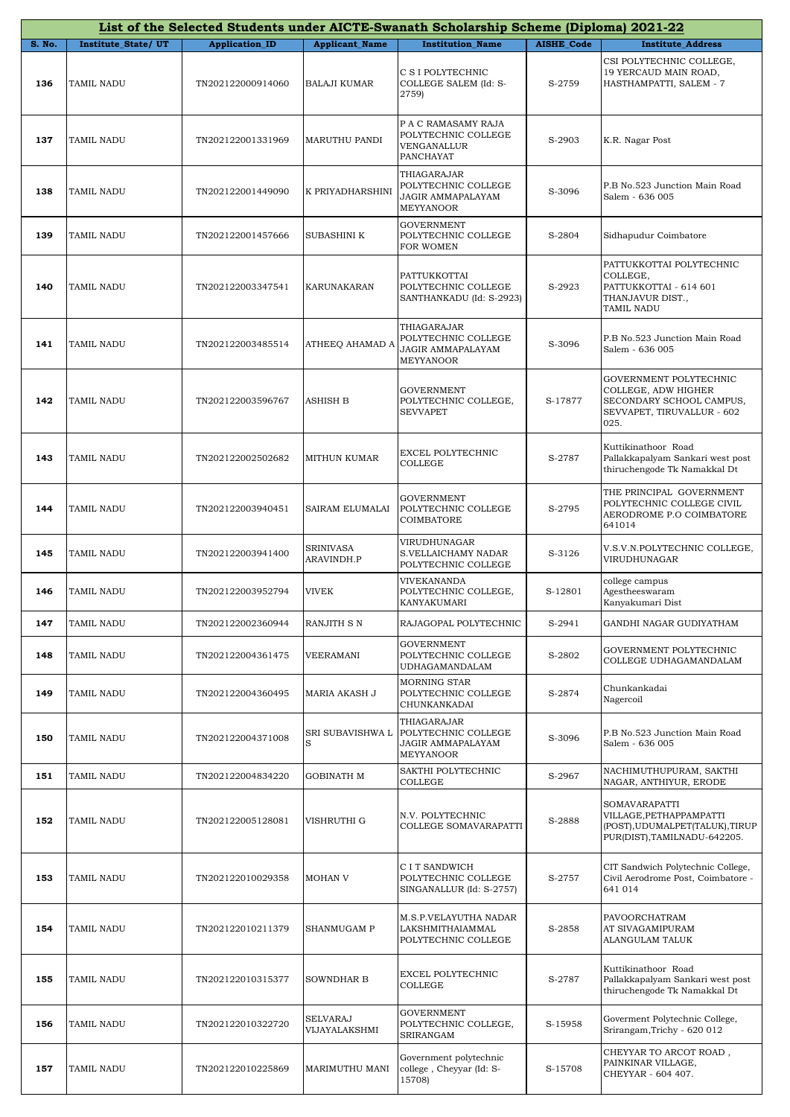|        |                           |                       |                           | List of the Selected Students under AICTE-Swanath Scholarship Scheme (Diploma) 2021-22 |                   |                                                                                                                 |
|--------|---------------------------|-----------------------|---------------------------|----------------------------------------------------------------------------------------|-------------------|-----------------------------------------------------------------------------------------------------------------|
| S. No. | <b>Institute State/UT</b> | <b>Application ID</b> | <b>Applicant_Name</b>     | <b>Institution Name</b>                                                                | <b>AISHE Code</b> | <b>Institute Address</b>                                                                                        |
| 136    | TAMIL NADU                | TN202122000914060     | <b>BALAJI KUMAR</b>       | C S I POLYTECHNIC<br>COLLEGE SALEM (Id: S-<br>2759)                                    | S-2759            | CSI POLYTECHNIC COLLEGE,<br>19 YERCAUD MAIN ROAD,<br>HASTHAMPATTI, SALEM - 7                                    |
| 137    | TAMIL NADU                | TN202122001331969     | MARUTHU PANDI             | P A C RAMASAMY RAJA<br>POLYTECHNIC COLLEGE<br>VENGANALLUR<br>PANCHAYAT                 | S-2903            | K.R. Nagar Post                                                                                                 |
| 138    | TAMIL NADU                | TN202122001449090     | K PRIYADHARSHINI          | THIAGARAJAR<br>POLYTECHNIC COLLEGE<br>JAGIR AMMAPALAYAM<br><b>MEYYANOOR</b>            | S-3096            | P.B No.523 Junction Main Road<br>Salem - 636 005                                                                |
| 139    | TAMIL NADU                | TN202122001457666     | SUBASHINI K               | <b>GOVERNMENT</b><br>POLYTECHNIC COLLEGE<br>FOR WOMEN                                  | S-2804            | Sidhapudur Coimbatore                                                                                           |
| 140    | TAMIL NADU                | TN202122003347541     | KARUNAKARAN               | PATTUKKOTTAI<br>POLYTECHNIC COLLEGE<br>SANTHANKADU (Id: S-2923)                        | S-2923            | PATTUKKOTTAI POLYTECHNIC<br>COLLEGE,<br>PATTUKKOTTAI - 614 601<br>THANJAVUR DIST.,<br><b>TAMIL NADU</b>         |
| 141    | TAMIL NADU                | TN202122003485514     | ATHEEQ AHAMAD A           | THIAGARAJAR<br>POLYTECHNIC COLLEGE<br>JAGIR AMMAPALAYAM<br><b>MEYYANOOR</b>            | S-3096            | P.B No.523 Junction Main Road<br>Salem - 636 005                                                                |
| 142    | TAMIL NADU                | TN202122003596767     | ASHISH B                  | <b>GOVERNMENT</b><br>POLYTECHNIC COLLEGE,<br><b>SEVVAPET</b>                           | S-17877           | GOVERNMENT POLYTECHNIC<br>COLLEGE, ADW HIGHER<br>SECONDARY SCHOOL CAMPUS,<br>SEVVAPET, TIRUVALLUR - 602<br>025. |
| 143    | TAMIL NADU                | TN202122002502682     | MITHUN KUMAR              | EXCEL POLYTECHNIC<br><b>COLLEGE</b>                                                    | S-2787            | Kuttikinathoor Road<br>Pallakkapalyam Sankari west post<br>thiruchengode Tk Namakkal Dt                         |
| 144    | TAMIL NADU                | TN202122003940451     | SAIRAM ELUMALAI           | <b>GOVERNMENT</b><br>POLYTECHNIC COLLEGE<br>COIMBATORE                                 | S-2795            | THE PRINCIPAL GOVERNMENT<br>POLYTECHNIC COLLEGE CIVIL<br>AERODROME P.O COIMBATORE<br>641014                     |
| 145    | TAMIL NADU                | TN202122003941400     | SRINIVASA<br>ARAVINDH.P   | VIRUDHUNAGAR<br>S.VELLAICHAMY NADAR<br>POLYTECHNIC COLLEGE                             | S-3126            | V.S.V.N.POLYTECHNIC COLLEGE,<br><b>VIRUDHUNAGAR</b>                                                             |
| 146    | TAMIL NADU                | TN202122003952794     | VIVEK                     | VIVEKANANDA<br>POLYTECHNIC COLLEGE,<br>KANYAKUMARI                                     | S-12801           | college campus<br>Agestheeswaram<br>Kanyakumari Dist                                                            |
| 147    | <b>TAMIL NADU</b>         | TN202122002360944     | RANJITH S N               | RAJAGOPAL POLYTECHNIC                                                                  | S-2941            | GANDHI NAGAR GUDIYATHAM                                                                                         |
| 148    | TAMIL NADU                | TN202122004361475     | VEERAMANI                 | <b>GOVERNMENT</b><br>POLYTECHNIC COLLEGE<br>UDHAGAMANDALAM                             | S-2802            | GOVERNMENT POLYTECHNIC<br>COLLEGE UDHAGAMANDALAM                                                                |
| 149    | TAMIL NADU                | TN202122004360495     | MARIA AKASH J             | <b>MORNING STAR</b><br>POLYTECHNIC COLLEGE<br>CHUNKANKADAI                             | S-2874            | Chunkankadai<br>Nagercoil                                                                                       |
| 150    | TAMIL NADU                | TN202122004371008     | SRI SUBAVISHWA L<br>s     | THIAGARAJAR<br>POLYTECHNIC COLLEGE<br>JAGIR AMMAPALAYAM<br>MEYYANOOR                   | S-3096            | P.B No.523 Junction Main Road<br>Salem - 636 005                                                                |
| 151    | TAMIL NADU                | TN202122004834220     | <b>GOBINATH M</b>         | SAKTHI POLYTECHNIC<br>COLLEGE                                                          | S-2967            | NACHIMUTHUPURAM, SAKTHI<br>NAGAR, ANTHIYUR, ERODE                                                               |
| 152    | TAMIL NADU                | TN202122005128081     | VISHRUTHI G               | N.V. POLYTECHNIC<br>COLLEGE SOMAVARAPATTI                                              | S-2888            | SOMAVARAPATTI<br>VILLAGE, PETHAPPAMPATTI<br>(POST), UDUMALPET(TALUK), TIRUP<br>PUR(DIST), TAMILNADU-642205.     |
| 153    | TAMIL NADU                | TN202122010029358     | <b>MOHAN V</b>            | C I T SANDWICH<br>POLYTECHNIC COLLEGE<br>SINGANALLUR (Id: S-2757)                      | S-2757            | CIT Sandwich Polytechnic College,<br>Civil Aerodrome Post, Coimbatore -<br>641 014                              |
| 154    | TAMIL NADU                | TN202122010211379     | <b>SHANMUGAM P</b>        | M.S.P.VELAYUTHA NADAR<br>LAKSHMITHAIAMMAL<br>POLYTECHNIC COLLEGE                       | S-2858            | PAVOORCHATRAM<br>AT SIVAGAMIPURAM<br>ALANGULAM TALUK                                                            |
| 155    | TAMIL NADU                | TN202122010315377     | SOWNDHAR B                | EXCEL POLYTECHNIC<br>COLLEGE                                                           | S-2787            | Kuttikinathoor Road<br>Pallakkapalyam Sankari west post<br>thiruchengode Tk Namakkal Dt                         |
| 156    | TAMIL NADU                | TN202122010322720     | SELVARAJ<br>VIJAYALAKSHMI | GOVERNMENT<br>POLYTECHNIC COLLEGE,<br>SRIRANGAM                                        | S-15958           | Goverment Polytechnic College,<br>Srirangam, Trichy - 620 012                                                   |
| 157    | TAMIL NADU                | TN202122010225869     | MARIMUTHU MANI            | Government polytechnic<br>college, Cheyyar (Id: S-<br>15708)                           | S-15708           | CHEYYAR TO ARCOT ROAD,<br>PAINKINAR VILLAGE,<br>CHEYYAR - 604 407.                                              |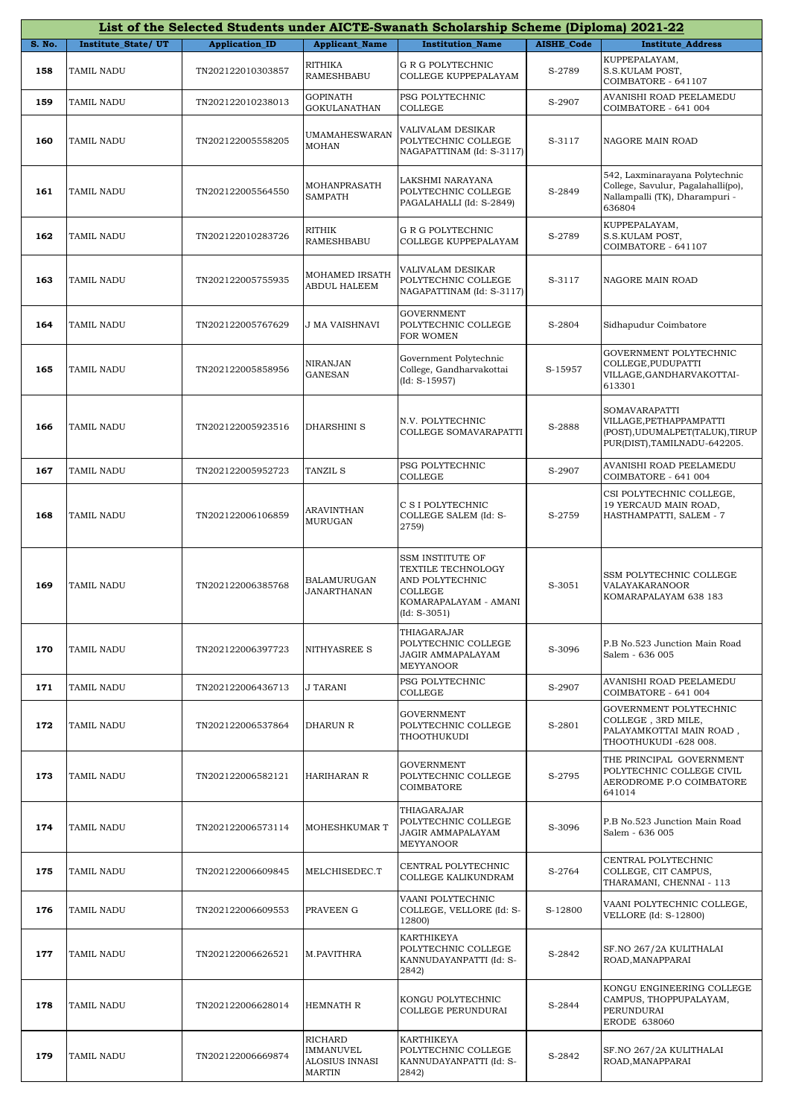|               |                    |                       |                                                                | List of the Selected Students under AICTE-Swanath Scholarship Scheme (Diploma) 2021-22                                        |                   |                                                                                                                  |
|---------------|--------------------|-----------------------|----------------------------------------------------------------|-------------------------------------------------------------------------------------------------------------------------------|-------------------|------------------------------------------------------------------------------------------------------------------|
| <b>S. No.</b> | Institute_State/UT | <b>Application_ID</b> | <b>Applicant_Name</b>                                          | <b>Institution Name</b>                                                                                                       | <b>AISHE Code</b> | <b>Institute Address</b>                                                                                         |
| 158           | <b>TAMIL NADU</b>  | TN202122010303857     | RITHIKA<br><b>RAMESHBABU</b>                                   | <b>G R G POLYTECHNIC</b><br>COLLEGE KUPPEPALAYAM                                                                              | S-2789            | KUPPEPALAYAM,<br>S.S.KULAM POST,<br>COIMBATORE - 641107                                                          |
| 159           | TAMIL NADU         | TN202122010238013     | GOPINATH<br><b>GOKULANATHAN</b>                                | PSG POLYTECHNIC<br><b>COLLEGE</b>                                                                                             | S-2907            | AVANISHI ROAD PEELAMEDU<br>COIMBATORE - 641 004                                                                  |
| 160           | TAMIL NADU         | TN202122005558205     | <b>UMAMAHESWARAN</b><br><b>MOHAN</b>                           | VALIVALAM DESIKAR<br>POLYTECHNIC COLLEGE<br>NAGAPATTINAM (Id: S-3117)                                                         | S-3117            | NAGORE MAIN ROAD                                                                                                 |
| 161           | TAMIL NADU         | TN202122005564550     | MOHANPRASATH<br>SAMPATH                                        | LAKSHMI NARAYANA<br>POLYTECHNIC COLLEGE<br>PAGALAHALLI (Id: S-2849)                                                           | S-2849            | 542, Laxminarayana Polytechnic<br>College, Savulur, Pagalahalli(po),<br>Nallampalli (TK), Dharampuri -<br>636804 |
| 162           | TAMIL NADU         | TN202122010283726     | RITHIK<br>RAMESHBABU                                           | G R G POLYTECHNIC<br>COLLEGE KUPPEPALAYAM                                                                                     | S-2789            | KUPPEPALAYAM,<br>S.S.KULAM POST,<br>COIMBATORE - 641107                                                          |
| 163           | TAMIL NADU         | TN202122005755935     | MOHAMED IRSATH<br>ABDUL HALEEM                                 | VALIVALAM DESIKAR<br>POLYTECHNIC COLLEGE<br>NAGAPATTINAM (Id: S-3117)                                                         | S-3117            | NAGORE MAIN ROAD                                                                                                 |
| 164           | TAMIL NADU         | TN202122005767629     | J MA VAISHNAVI                                                 | <b>GOVERNMENT</b><br>POLYTECHNIC COLLEGE<br><b>FOR WOMEN</b>                                                                  | S-2804            | Sidhapudur Coimbatore                                                                                            |
| 165           | TAMIL NADU         | TN202122005858956     | NIRANJAN<br><b>GANESAN</b>                                     | Government Polytechnic<br>College, Gandharvakottai<br>$(Id: S-15957)$                                                         | S-15957           | GOVERNMENT POLYTECHNIC<br>COLLEGE, PUDUPATTI<br>VILLAGE, GANDHARVAKOTTAI-<br>613301                              |
| 166           | TAMIL NADU         | TN202122005923516     | <b>DHARSHINI S</b>                                             | N.V. POLYTECHNIC<br>COLLEGE SOMAVARAPATTI                                                                                     | S-2888            | SOMAVARAPATTI<br>VILLAGE,PETHAPPAMPATTI<br>(POST), UDUMALPET(TALUK), TIRUP<br>PUR(DIST), TAMILNADU-642205.       |
| 167           | TAMIL NADU         | TN202122005952723     | <b>TANZIL S</b>                                                | PSG POLYTECHNIC<br><b>COLLEGE</b>                                                                                             | S-2907            | AVANISHI ROAD PEELAMEDU<br>COIMBATORE - 641 004                                                                  |
| 168           | TAMIL NADU         | TN202122006106859     | ARAVINTHAN<br><b>MURUGAN</b>                                   | C S I POLYTECHNIC<br>COLLEGE SALEM (Id: S-<br>2759)                                                                           | S-2759            | CSI POLYTECHNIC COLLEGE,<br>19 YERCAUD MAIN ROAD,<br>HASTHAMPATTI, SALEM - 7                                     |
| 169           | TAMIL NADU         | TN202122006385768     | BALAMURUGAN<br>JANARTHANAN                                     | <b>SSM INSTITUTE OF</b><br><b>TEXTILE TECHNOLOGY</b><br>AND POLYTECHNIC<br>COLLEGE<br>KOMARAPALAYAM - AMANI<br>$(Id: S-3051)$ | S-3051            | SSM POLYTECHNIC COLLEGE<br>VALAYAKARANOOR<br>KOMARAPALAYAM 638 183                                               |
| 170           | TAMIL NADU         | TN202122006397723     | NITHYASREE S                                                   | THIAGARAJAR<br>POLYTECHNIC COLLEGE<br>JAGIR AMMAPALAYAM<br><b>MEYYANOOR</b>                                                   | S-3096            | P.B No.523 Junction Main Road<br>Salem - 636 005                                                                 |
| 171           | TAMIL NADU         | TN202122006436713     | J TARANI                                                       | PSG POLYTECHNIC<br>COLLEGE                                                                                                    | S-2907            | AVANISHI ROAD PEELAMEDU<br>COIMBATORE - 641 004                                                                  |
| 172           | TAMIL NADU         | TN202122006537864     | DHARUN R                                                       | <b>GOVERNMENT</b><br>POLYTECHNIC COLLEGE<br>THOOTHUKUDI                                                                       | S-2801            | GOVERNMENT POLYTECHNIC<br>COLLEGE, 3RD MILE,<br>PALAYAMKOTTAI MAIN ROAD,<br>THOOTHUKUDI -628 008.                |
| 173           | TAMIL NADU         | TN202122006582121     | <b>HARIHARAN R</b>                                             | <b>GOVERNMENT</b><br>POLYTECHNIC COLLEGE<br>COIMBATORE                                                                        | S-2795            | THE PRINCIPAL GOVERNMENT<br>POLYTECHNIC COLLEGE CIVIL<br>AERODROME P.O COIMBATORE<br>641014                      |
| 174           | TAMIL NADU         | TN202122006573114     | <b>MOHESHKUMAR T</b>                                           | THIAGARAJAR<br>POLYTECHNIC COLLEGE<br>JAGIR AMMAPALAYAM<br>MEYYANOOR                                                          | S-3096            | P.B No.523 Junction Main Road<br>Salem - 636 005                                                                 |
| 175           | TAMIL NADU         | TN202122006609845     | MELCHISEDEC.T                                                  | CENTRAL POLYTECHNIC<br>COLLEGE KALIKUNDRAM                                                                                    | S-2764            | CENTRAL POLYTECHNIC<br>COLLEGE, CIT CAMPUS,<br>THARAMANI, CHENNAI - 113                                          |
| 176           | TAMIL NADU         | TN202122006609553     | PRAVEEN G                                                      | VAANI POLYTECHNIC<br>COLLEGE, VELLORE (Id: S-<br>12800)                                                                       | S-12800           | VAANI POLYTECHNIC COLLEGE,<br>VELLORE (Id: S-12800)                                                              |
| 177           | TAMIL NADU         | TN202122006626521     | M.PAVITHRA                                                     | KARTHIKEYA<br>POLYTECHNIC COLLEGE<br>KANNUDAYANPATTI (Id: S-<br>2842)                                                         | S-2842            | SF.NO 267/2A KULITHALAI<br>ROAD, MANAPPARAI                                                                      |
| 178           | TAMIL NADU         | TN202122006628014     | HEMNATH R                                                      | KONGU POLYTECHNIC<br>COLLEGE PERUNDURAI                                                                                       | S-2844            | KONGU ENGINEERING COLLEGE<br>CAMPUS, THOPPUPALAYAM,<br>PERUNDURAI<br>ERODE 638060                                |
| 179           | TAMIL NADU         | TN202122006669874     | <b>RICHARD</b><br>IMMANUVEL<br>ALOSIUS INNASI<br><b>MARTIN</b> | KARTHIKEYA<br>POLYTECHNIC COLLEGE<br>KANNUDAYANPATTI (Id: S-<br>2842)                                                         | S-2842            | SF.NO 267/2A KULITHALAI<br>ROAD, MANAPPARAI                                                                      |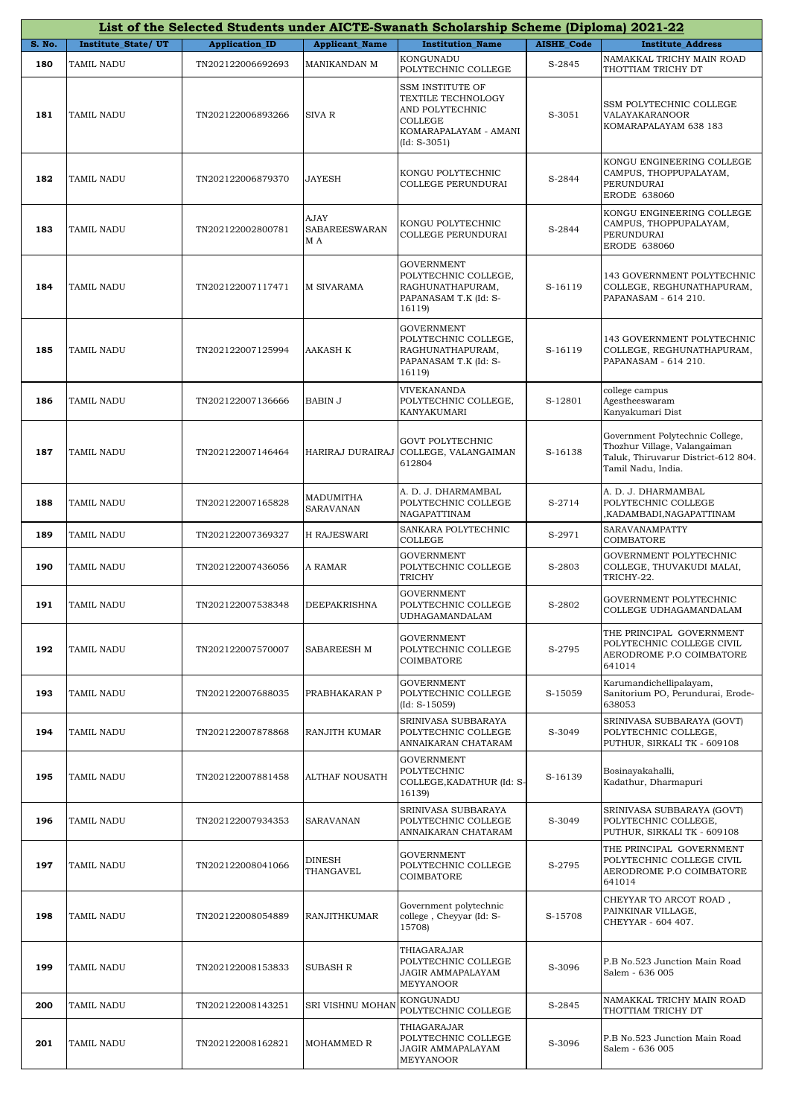| List of the Selected Students under AICTE-Swanath Scholarship Scheme (Diploma) 2021-22 |                    |                       |                              |                                                                                                                 |            |                                                                                                                              |  |
|----------------------------------------------------------------------------------------|--------------------|-----------------------|------------------------------|-----------------------------------------------------------------------------------------------------------------|------------|------------------------------------------------------------------------------------------------------------------------------|--|
| S. No.                                                                                 | Institute_State/UT | <b>Application_ID</b> | <b>Applicant_Name</b>        | <b>Institution Name</b>                                                                                         | AISHE_Code | <b>Institute_Address</b>                                                                                                     |  |
| 180                                                                                    | TAMIL NADU         | TN202122006692693     | MANIKANDAN M                 | KONGUNADU<br>POLYTECHNIC COLLEGE                                                                                | S-2845     | NAMAKKAL TRICHY MAIN ROAD<br>THOTTIAM TRICHY DT                                                                              |  |
| 181                                                                                    | TAMIL NADU         | TN202122006893266     | SIVA R                       | SSM INSTITUTE OF<br>TEXTILE TECHNOLOGY<br>AND POLYTECHNIC<br>COLLEGE<br>KOMARAPALAYAM - AMANI<br>$(Id: S-3051)$ | S-3051     | SSM POLYTECHNIC COLLEGE<br>VALAYAKARANOOR<br>KOMARAPALAYAM 638 183                                                           |  |
| 182                                                                                    | TAMIL NADU         | TN202122006879370     | JAYESH                       | KONGU POLYTECHNIC<br>COLLEGE PERUNDURAI                                                                         | S-2844     | KONGU ENGINEERING COLLEGE<br>CAMPUS, THOPPUPALAYAM,<br>PERUNDURAI<br>ERODE 638060                                            |  |
| 183                                                                                    | TAMIL NADU         | TN202122002800781     | AJAY<br>SABAREESWARAN<br>M A | KONGU POLYTECHNIC<br>COLLEGE PERUNDURAI                                                                         | S-2844     | KONGU ENGINEERING COLLEGE<br>CAMPUS, THOPPUPALAYAM,<br>PERUNDURAI<br>ERODE 638060                                            |  |
| 184                                                                                    | TAMIL NADU         | TN202122007117471     | M SIVARAMA                   | <b>GOVERNMENT</b><br>POLYTECHNIC COLLEGE,<br>RAGHUNATHAPURAM,<br>PAPANASAM T.K (Id: S-<br>16119)                | S-16119    | 143 GOVERNMENT POLYTECHNIC<br>COLLEGE, REGHUNATHAPURAM,<br>PAPANASAM - 614 210.                                              |  |
| 185                                                                                    | TAMIL NADU         | TN202122007125994     | AAKASH K                     | <b>GOVERNMENT</b><br>POLYTECHNIC COLLEGE,<br>RAGHUNATHAPURAM,<br>PAPANASAM T.K (Id: S-<br>16119)                | S-16119    | 143 GOVERNMENT POLYTECHNIC<br>COLLEGE, REGHUNATHAPURAM,<br>PAPANASAM - 614 210.                                              |  |
| 186                                                                                    | TAMIL NADU         | TN202122007136666     | BABIN J                      | VIVEKANANDA<br>POLYTECHNIC COLLEGE,<br>KANYAKUMARI                                                              | S-12801    | college campus<br>Agestheeswaram<br>Kanyakumari Dist                                                                         |  |
| 187                                                                                    | TAMIL NADU         | TN202122007146464     | HARIRAJ DURAIRAJ             | <b>GOVT POLYTECHNIC</b><br>COLLEGE, VALANGAIMAN<br>612804                                                       | S-16138    | Government Polytechnic College,<br>Thozhur Village, Valangaiman<br>Taluk, Thiruvarur District-612 804.<br>Tamil Nadu, India. |  |
| 188                                                                                    | TAMIL NADU         | TN202122007165828     | MADUMITHA<br>SARAVANAN       | A. D. J. DHARMAMBAL<br>POLYTECHNIC COLLEGE<br>NAGAPATTINAM                                                      | S-2714     | A. D. J. DHARMAMBAL<br>POLYTECHNIC COLLEGE<br>,KADAMBADI,NAGAPATTINAM                                                        |  |
| 189                                                                                    | TAMIL NADU         | TN202122007369327     | H RAJESWARI                  | SANKARA POLYTECHNIC<br>COLLEGE                                                                                  | S-2971     | SARAVANAMPATTY<br>COIMBATORE                                                                                                 |  |
| 190                                                                                    | TAMIL NADU         | TN202122007436056     | A RAMAR                      | <b>GOVERNMENT</b><br>POLYTECHNIC COLLEGE<br>TRICHY                                                              | S-2803     | GOVERNMENT POLYTECHNIC<br>COLLEGE, THUVAKUDI MALAI,<br>TRICHY-22.                                                            |  |
| 191                                                                                    | TAMIL NADU         | TN202122007538348     | DEEPAKRISHNA                 | <b>GOVERNMENT</b><br>POLYTECHNIC COLLEGE<br><b>UDHAGAMANDALAM</b>                                               | S-2802     | GOVERNMENT POLYTECHNIC<br>COLLEGE UDHAGAMANDALAM                                                                             |  |
| 192                                                                                    | TAMIL NADU         | TN202122007570007     | SABAREESH M                  | <b>GOVERNMENT</b><br>POLYTECHNIC COLLEGE<br>COIMBATORE                                                          | S-2795     | THE PRINCIPAL GOVERNMENT<br>POLYTECHNIC COLLEGE CIVIL<br>AERODROME P.O COIMBATORE<br>641014                                  |  |
| 193                                                                                    | TAMIL NADU         | TN202122007688035     | PRABHAKARAN P                | <b>GOVERNMENT</b><br>POLYTECHNIC COLLEGE<br>$(Id: S-15059)$                                                     | S-15059    | Karumandichellipalayam,<br>Sanitorium PO, Perundurai, Erode-<br>638053                                                       |  |
| 194                                                                                    | TAMIL NADU         | TN202122007878868     | RANJITH KUMAR                | SRINIVASA SUBBARAYA<br>POLYTECHNIC COLLEGE<br>ANNAIKARAN CHATARAM                                               | S-3049     | SRINIVASA SUBBARAYA (GOVT)<br>POLYTECHNIC COLLEGE,<br>PUTHUR, SIRKALI TK - 609108                                            |  |
| 195                                                                                    | TAMIL NADU         | TN202122007881458     | <b>ALTHAF NOUSATH</b>        | <b>GOVERNMENT</b><br>POLYTECHNIC<br>COLLEGE, KADATHUR (Id: S-<br>16139)                                         | S-16139    | Bosinayakahalli,<br>Kadathur, Dharmapuri                                                                                     |  |
| 196                                                                                    | TAMIL NADU         | TN202122007934353     | SARAVANAN                    | SRINIVASA SUBBARAYA<br>POLYTECHNIC COLLEGE<br>ANNAIKARAN CHATARAM                                               | S-3049     | SRINIVASA SUBBARAYA (GOVT)<br>POLYTECHNIC COLLEGE,<br>PUTHUR, SIRKALI TK - 609108                                            |  |
| 197                                                                                    | TAMIL NADU         | TN202122008041066     | DINESH<br>THANGAVEL          | <b>GOVERNMENT</b><br>POLYTECHNIC COLLEGE<br>COIMBATORE                                                          | S-2795     | THE PRINCIPAL GOVERNMENT<br>POLYTECHNIC COLLEGE CIVIL<br>AERODROME P.O COIMBATORE<br>641014                                  |  |
| 198                                                                                    | TAMIL NADU         | TN202122008054889     | RANJITHKUMAR                 | Government polytechnic<br>college, Cheyyar (Id: S-<br>15708)                                                    | S-15708    | CHEYYAR TO ARCOT ROAD,<br>PAINKINAR VILLAGE,<br>CHEYYAR - 604 407.                                                           |  |
| 199                                                                                    | TAMIL NADU         | TN202122008153833     | SUBASH R                     | THIAGARAJAR<br>POLYTECHNIC COLLEGE<br>JAGIR AMMAPALAYAM<br>MEYYANOOR                                            | S-3096     | P.B No.523 Junction Main Road<br>Salem - 636 005                                                                             |  |
| 200                                                                                    | TAMIL NADU         | TN202122008143251     | SRI VISHNU MOHAN             | KONGUNADU<br>POLYTECHNIC COLLEGE                                                                                | S-2845     | NAMAKKAL TRICHY MAIN ROAD<br>THOTTIAM TRICHY DT                                                                              |  |
| 201                                                                                    | TAMIL NADU         | TN202122008162821     | MOHAMMED R                   | THIAGARAJAR<br>POLYTECHNIC COLLEGE<br>JAGIR AMMAPALAYAM<br><b>MEYYANOOR</b>                                     | S-3096     | P.B No.523 Junction Main Road<br>Salem - 636 005                                                                             |  |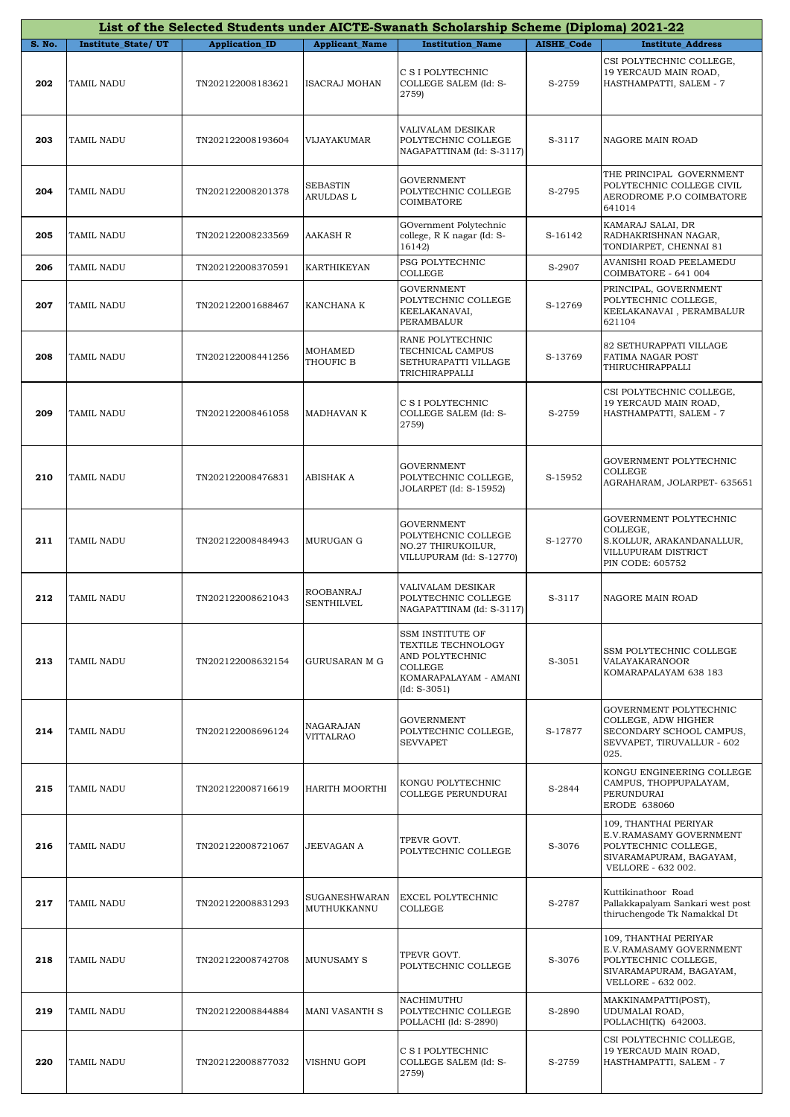|        | List of the Selected Students under AICTE-Swanath Scholarship Scheme (Diploma) 2021-22 |                       |                                |                                                                                                                               |                   |                                                                                                                           |  |  |  |
|--------|----------------------------------------------------------------------------------------|-----------------------|--------------------------------|-------------------------------------------------------------------------------------------------------------------------------|-------------------|---------------------------------------------------------------------------------------------------------------------------|--|--|--|
| S. No. | Institute_State/UT                                                                     | <b>Application ID</b> | <b>Applicant Name</b>          | <b>Institution Name</b>                                                                                                       | <b>AISHE Code</b> | <b>Institute Address</b>                                                                                                  |  |  |  |
| 202    | TAMIL NADU                                                                             | TN202122008183621     | ISACRAJ MOHAN                  | C S I POLYTECHNIC<br>COLLEGE SALEM (Id: S-<br>2759)                                                                           | S-2759            | CSI POLYTECHNIC COLLEGE,<br>19 YERCAUD MAIN ROAD,<br>HASTHAMPATTI, SALEM - 7                                              |  |  |  |
| 203    | TAMIL NADU                                                                             | TN202122008193604     | VIJAYAKUMAR                    | VALIVALAM DESIKAR<br>POLYTECHNIC COLLEGE<br>NAGAPATTINAM (Id: S-3117)                                                         | S-3117            | NAGORE MAIN ROAD                                                                                                          |  |  |  |
| 204    | TAMIL NADU                                                                             | TN202122008201378     | <b>SEBASTIN</b><br>ARULDAS L   | <b>GOVERNMENT</b><br>POLYTECHNIC COLLEGE<br>COIMBATORE                                                                        | S-2795            | THE PRINCIPAL GOVERNMENT<br>POLYTECHNIC COLLEGE CIVIL<br>AERODROME P.O COIMBATORE<br>641014                               |  |  |  |
| 205    | TAMIL NADU                                                                             | TN202122008233569     | <b>AAKASH R</b>                | GOvernment Polytechnic<br>college, R K nagar (Id: S-<br>16142)                                                                | S-16142           | KAMARAJ SALAI, DR<br>RADHAKRISHNAN NAGAR,<br>TONDIARPET, CHENNAI 81                                                       |  |  |  |
| 206    | TAMIL NADU                                                                             | TN202122008370591     | KARTHIKEYAN                    | PSG POLYTECHNIC<br>COLLEGE                                                                                                    | S-2907            | AVANISHI ROAD PEELAMEDU<br>COIMBATORE - 641 004                                                                           |  |  |  |
| 207    | TAMIL NADU                                                                             | TN202122001688467     | KANCHANA K                     | <b>GOVERNMENT</b><br>POLYTECHNIC COLLEGE<br>KEELAKANAVAI,<br>PERAMBALUR                                                       | S-12769           | PRINCIPAL, GOVERNMENT<br>POLYTECHNIC COLLEGE,<br>KEELAKANAVAI, PERAMBALUR<br>621104                                       |  |  |  |
| 208    | TAMIL NADU                                                                             | TN202122008441256     | MOHAMED<br>THOUFIC B           | RANE POLYTECHNIC<br>TECHNICAL CAMPUS<br>SETHURAPATTI VILLAGE<br>TRICHIRAPPALLI                                                | S-13769           | 82 SETHURAPPATI VILLAGE<br>FATIMA NAGAR POST<br>THIRUCHIRAPPALLI                                                          |  |  |  |
| 209    | TAMIL NADU                                                                             | TN202122008461058     | MADHAVAN K                     | C S I POLYTECHNIC<br>COLLEGE SALEM (Id: S-<br>2759)                                                                           | S-2759            | CSI POLYTECHNIC COLLEGE,<br>19 YERCAUD MAIN ROAD,<br>HASTHAMPATTI, SALEM - 7                                              |  |  |  |
| 210    | TAMIL NADU                                                                             | TN202122008476831     | ABISHAK A                      | <b>GOVERNMENT</b><br>POLYTECHNIC COLLEGE,<br>JOLARPET (Id: S-15952)                                                           | S-15952           | GOVERNMENT POLYTECHNIC<br>COLLEGE<br>AGRAHARAM, JOLARPET- 635651                                                          |  |  |  |
| 211    | TAMIL NADU                                                                             | TN202122008484943     | MURUGAN G                      | <b>GOVERNMENT</b><br>POLYTEHCNIC COLLEGE<br>NO.27 THIRUKOILUR,<br>VILLUPURAM (Id: S-12770)                                    | S-12770           | GOVERNMENT POLYTECHNIC<br>COLLEGE,<br>S.KOLLUR, ARAKANDANALLUR,<br>VILLUPURAM DISTRICT<br>PIN CODE: 605752                |  |  |  |
| 212    | TAMIL NADU                                                                             | TN202122008621043     | ROOBANRAJ<br><b>SENTHILVEL</b> | VALIVALAM DESIKAR<br>POLYTECHNIC COLLEGE<br>NAGAPATTINAM (Id: S-3117)                                                         | S-3117            | NAGORE MAIN ROAD                                                                                                          |  |  |  |
| 213    | TAMIL NADU                                                                             | TN202122008632154     | GURUSARAN M G                  | <b>SSM INSTITUTE OF</b><br>TEXTILE TECHNOLOGY<br>AND POLYTECHNIC<br><b>COLLEGE</b><br>KOMARAPALAYAM - AMANI<br>$(Id: S-3051)$ | S-3051            | SSM POLYTECHNIC COLLEGE<br>VALAYAKARANOOR<br>KOMARAPALAYAM 638 183                                                        |  |  |  |
| 214    | TAMIL NADU                                                                             | TN202122008696124     | NAGARAJAN<br>VITTALRAO         | <b>GOVERNMENT</b><br>POLYTECHNIC COLLEGE,<br><b>SEVVAPET</b>                                                                  | S-17877           | GOVERNMENT POLYTECHNIC<br>COLLEGE, ADW HIGHER<br>SECONDARY SCHOOL CAMPUS,<br>SEVVAPET, TIRUVALLUR - 602<br>025.           |  |  |  |
| 215    | TAMIL NADU                                                                             | TN202122008716619     | HARITH MOORTHI                 | KONGU POLYTECHNIC<br>COLLEGE PERUNDURAI                                                                                       | S-2844            | KONGU ENGINEERING COLLEGE<br>CAMPUS, THOPPUPALAYAM,<br>PERUNDURAI<br>ERODE 638060                                         |  |  |  |
| 216    | TAMIL NADU                                                                             | TN202122008721067     | JEEVAGAN A                     | TPEVR GOVT.<br>POLYTECHNIC COLLEGE                                                                                            | S-3076            | 109, THANTHAI PERIYAR<br>E.V.RAMASAMY GOVERNMENT<br>POLYTECHNIC COLLEGE,<br>SIVARAMAPURAM, BAGAYAM,<br>VELLORE - 632 002. |  |  |  |
| 217    | TAMIL NADU                                                                             | TN202122008831293     | SUGANESHWARAN<br>MUTHUKKANNU   | EXCEL POLYTECHNIC<br>COLLEGE                                                                                                  | S-2787            | Kuttikinathoor Road<br>Pallakkapalyam Sankari west post<br>thiruchengode Tk Namakkal Dt                                   |  |  |  |
| 218    | TAMIL NADU                                                                             | TN202122008742708     | <b>MUNUSAMY S</b>              | TPEVR GOVT.<br>POLYTECHNIC COLLEGE                                                                                            | S-3076            | 109, THANTHAI PERIYAR<br>E.V.RAMASAMY GOVERNMENT<br>POLYTECHNIC COLLEGE,<br>SIVARAMAPURAM, BAGAYAM,<br>VELLORE - 632 002. |  |  |  |
| 219    | TAMIL NADU                                                                             | TN202122008844884     | <b>MANI VASANTH S</b>          | NACHIMUTHU<br>POLYTECHNIC COLLEGE<br>POLLACHI (Id: S-2890)                                                                    | S-2890            | MAKKINAMPATTI(POST),<br>UDUMALAI ROAD,<br>POLLACHI(TK) 642003.                                                            |  |  |  |
| 220    | TAMIL NADU                                                                             | TN202122008877032     | VISHNU GOPI                    | C S I POLYTECHNIC<br>COLLEGE SALEM (Id: S-<br>2759)                                                                           | S-2759            | CSI POLYTECHNIC COLLEGE,<br>19 YERCAUD MAIN ROAD,<br>HASTHAMPATTI, SALEM - 7                                              |  |  |  |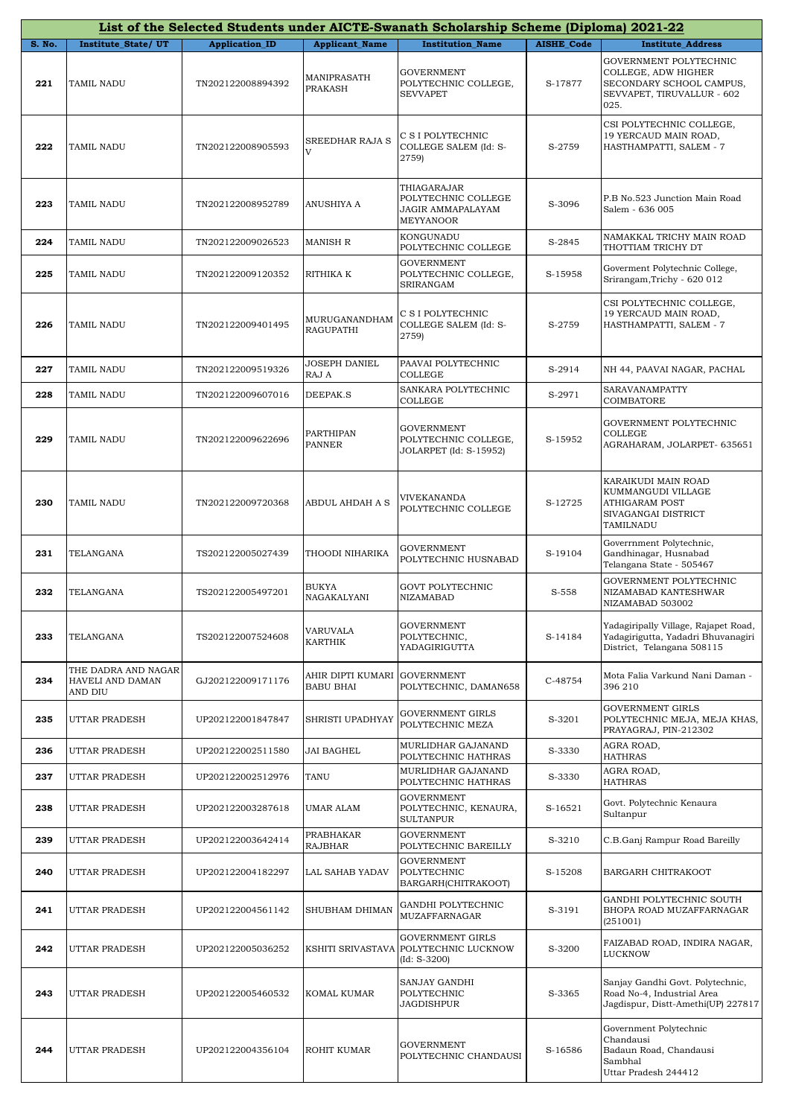|        |                                                    |                       |                                                   | List of the Selected Students under AICTE-Swanath Scholarship Scheme (Diploma) 2021-22 |                   |                                                                                                                 |
|--------|----------------------------------------------------|-----------------------|---------------------------------------------------|----------------------------------------------------------------------------------------|-------------------|-----------------------------------------------------------------------------------------------------------------|
| S. No. | <b>Institute State/UT</b>                          | <b>Application_ID</b> | <b>Applicant_Name</b>                             | <b>Institution Name</b>                                                                | <b>AISHE Code</b> | <b>Institute Address</b>                                                                                        |
| 221    | TAMIL NADU                                         | TN202122008894392     | MANIPRASATH<br>PRAKASH                            | <b>GOVERNMENT</b><br>POLYTECHNIC COLLEGE,<br><b>SEVVAPET</b>                           | S-17877           | GOVERNMENT POLYTECHNIC<br>COLLEGE, ADW HIGHER<br>SECONDARY SCHOOL CAMPUS,<br>SEVVAPET, TIRUVALLUR - 602<br>025. |
| 222    | TAMIL NADU                                         | TN202122008905593     | SREEDHAR RAJA S<br>V                              | C S I POLYTECHNIC<br>COLLEGE SALEM (Id: S-<br>2759)                                    | S-2759            | CSI POLYTECHNIC COLLEGE,<br>19 YERCAUD MAIN ROAD,<br>HASTHAMPATTI, SALEM - 7                                    |
| 223    | TAMIL NADU                                         | TN202122008952789     | ANUSHIYA A                                        | THIAGARAJAR<br>POLYTECHNIC COLLEGE<br>JAGIR AMMAPALAYAM<br>MEYYANOOR                   | S-3096            | P.B No.523 Junction Main Road<br>Salem - 636 005                                                                |
| 224    | TAMIL NADU                                         | TN202122009026523     | MANISH R                                          | KONGUNADU<br>POLYTECHNIC COLLEGE                                                       | S-2845            | NAMAKKAL TRICHY MAIN ROAD<br>THOTTIAM TRICHY DT                                                                 |
| 225    | TAMIL NADU                                         | TN202122009120352     | RITHIKA K                                         | <b>GOVERNMENT</b><br>POLYTECHNIC COLLEGE,<br>SRIRANGAM                                 | S-15958           | Goverment Polytechnic College,<br>Srirangam, Trichy - 620 012                                                   |
| 226    | TAMIL NADU                                         | TN202122009401495     | MURUGANANDHAM<br>RAGUPATHI                        | C S I POLYTECHNIC<br>COLLEGE SALEM (Id: S-<br>2759)                                    | S-2759            | CSI POLYTECHNIC COLLEGE,<br>19 YERCAUD MAIN ROAD,<br>HASTHAMPATTI, SALEM - 7                                    |
| 227    | TAMIL NADU                                         | TN202122009519326     | JOSEPH DANIEL<br>RAJ A                            | PAAVAI POLYTECHNIC<br><b>COLLEGE</b>                                                   | S-2914            | NH 44, PAAVAI NAGAR, PACHAL                                                                                     |
| 228    | TAMIL NADU                                         | TN202122009607016     | DEEPAK.S                                          | SANKARA POLYTECHNIC<br><b>COLLEGE</b>                                                  | S-2971            | SARAVANAMPATTY<br>COIMBATORE                                                                                    |
| 229    | TAMIL NADU                                         | TN202122009622696     | PARTHIPAN<br>PANNER                               | GOVERNMENT<br>POLYTECHNIC COLLEGE,<br>JOLARPET (Id: S-15952)                           | S-15952           | GOVERNMENT POLYTECHNIC<br><b>COLLEGE</b><br>AGRAHARAM, JOLARPET- 635651                                         |
| 230    | TAMIL NADU                                         | TN202122009720368     | ABDUL AHDAH A S                                   | VIVEKANANDA<br>POLYTECHNIC COLLEGE                                                     | S-12725           | KARAIKUDI MAIN ROAD<br>KUMMANGUDI VILLAGE<br>ATHIGARAM POST<br>SIVAGANGAI DISTRICT<br>TAMILNADU                 |
| 231    | TELANGANA                                          | TS202122005027439     | THOODI NIHARIKA                                   | GOVERNMENT<br>POLYTECHNIC HUSNABAD                                                     | S-19104           | Goverrnment Polytechnic,<br>Gandhinagar, Husnabad<br>Telangana State - 505467                                   |
| 232    | TELANGANA                                          | TS202122005497201     | BUKYA<br>NAGAKALYANI                              | <b>GOVT POLYTECHNIC</b><br>NIZAMABAD                                                   | S-558             | GOVERNMENT POLYTECHNIC<br>NIZAMABAD KANTESHWAR<br>NIZAMABAD 503002                                              |
| 233    | TELANGANA                                          | TS202122007524608     | VARUVALA<br>KARTHIK                               | <b>GOVERNMENT</b><br>POLYTECHNIC,<br>YADAGIRIGUTTA                                     | S-14184           | Yadagiripally Village, Rajapet Road,<br>Yadagirigutta, Yadadri Bhuvanagiri<br>District, Telangana 508115        |
| 234    | THE DADRA AND NAGAR<br>HAVELI AND DAMAN<br>AND DIU | GJ202122009171176     | AHIR DIPTI KUMARI  GOVERNMENT<br><b>BABU BHAI</b> | POLYTECHNIC, DAMAN658                                                                  | C-48754           | Mota Falia Varkund Nani Daman -<br>396 210                                                                      |
| 235    | UTTAR PRADESH                                      | UP202122001847847     | SHRISTI UPADHYAY                                  | GOVERNMENT GIRLS<br>POLYTECHNIC MEZA                                                   | S-3201            | <b>GOVERNMENT GIRLS</b><br>POLYTECHNIC MEJA, MEJA KHAS,<br>PRAYAGRAJ, PIN-212302                                |
| 236    | UTTAR PRADESH                                      | UP202122002511580     | JAI BAGHEL                                        | MURLIDHAR GAJANAND<br>POLYTECHNIC HATHRAS                                              | S-3330            | AGRA ROAD,<br><b>HATHRAS</b>                                                                                    |
| 237    | UTTAR PRADESH                                      | UP202122002512976     | TANU                                              | MURLIDHAR GAJANAND<br>POLYTECHNIC HATHRAS                                              | S-3330            | AGRA ROAD,<br><b>HATHRAS</b>                                                                                    |
| 238    | UTTAR PRADESH                                      | UP202122003287618     | UMAR ALAM                                         | <b>GOVERNMENT</b><br>POLYTECHNIC, KENAURA,<br>SULTANPUR                                | S-16521           | Govt. Polytechnic Kenaura<br>Sultanpur                                                                          |
| 239    | UTTAR PRADESH                                      | UP202122003642414     | PRABHAKAR<br><b>RAJBHAR</b>                       | <b>GOVERNMENT</b><br>POLYTECHNIC BAREILLY                                              | S-3210            | C.B.Ganj Rampur Road Bareilly                                                                                   |
| 240    | UTTAR PRADESH                                      | UP202122004182297     | LAL SAHAB YADAV                                   | <b>GOVERNMENT</b><br>POLYTECHNIC<br>BARGARH(CHITRAKOOT)                                | S-15208           | BARGARH CHITRAKOOT                                                                                              |
| 241    | UTTAR PRADESH                                      | UP202122004561142     | SHUBHAM DHIMAN                                    | GANDHI POLYTECHNIC<br>MUZAFFARNAGAR                                                    | S-3191            | GANDHI POLYTECHNIC SOUTH<br>BHOPA ROAD MUZAFFARNAGAR<br>(251001)                                                |
| 242    | UTTAR PRADESH                                      | UP202122005036252     |                                                   | GOVERNMENT GIRLS<br>KSHITI SRIVASTAVA POLYTECHNIC LUCKNOW<br>$(Id: S-3200)$            | S-3200            | FAIZABAD ROAD, INDIRA NAGAR,<br>LUCKNOW                                                                         |
| 243    | UTTAR PRADESH                                      | UP202122005460532     | KOMAL KUMAR                                       | SANJAY GANDHI<br>POLYTECHNIC<br>JAGDISHPUR                                             | S-3365            | Sanjay Gandhi Govt. Polytechnic,<br>Road No-4, Industrial Area<br>Jagdispur, Distt-Amethi(UP) 227817            |
| 244    | UTTAR PRADESH                                      | UP202122004356104     | ROHIT KUMAR                                       | GOVERNMENT<br>POLYTECHNIC CHANDAUSI                                                    | S-16586           | Government Polytechnic<br>Chandausi<br>Badaun Road, Chandausi<br>Sambhal<br>Uttar Pradesh 244412                |